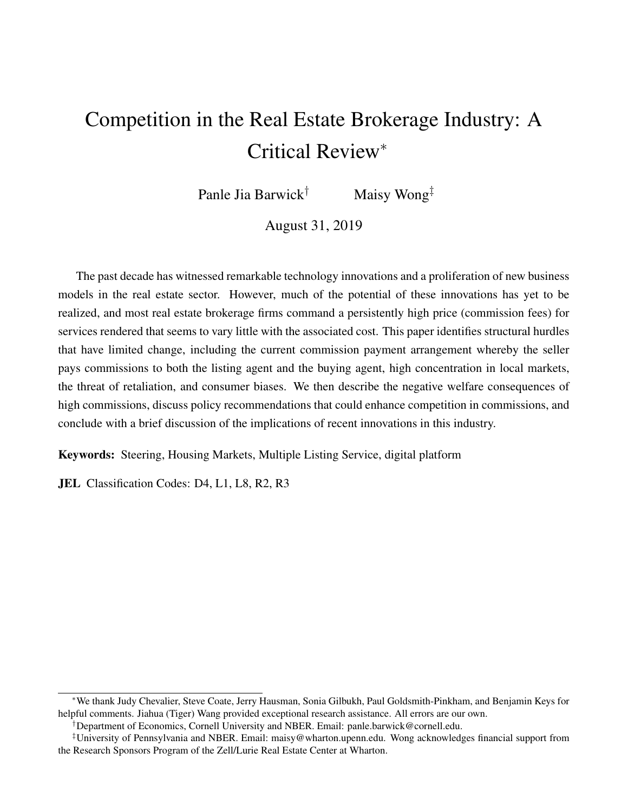# Competition in the Real Estate Brokerage Industry: A Critical Review<sup>∗</sup>

Panle Jia Barwick<sup>†</sup> Maisy Wong<sup>‡</sup>

August 31, 2019

The past decade has witnessed remarkable technology innovations and a proliferation of new business models in the real estate sector. However, much of the potential of these innovations has yet to be realized, and most real estate brokerage firms command a persistently high price (commission fees) for services rendered that seems to vary little with the associated cost. This paper identifies structural hurdles that have limited change, including the current commission payment arrangement whereby the seller pays commissions to both the listing agent and the buying agent, high concentration in local markets, the threat of retaliation, and consumer biases. We then describe the negative welfare consequences of high commissions, discuss policy recommendations that could enhance competition in commissions, and conclude with a brief discussion of the implications of recent innovations in this industry.

Keywords: Steering, Housing Markets, Multiple Listing Service, digital platform

**JEL** Classification Codes: D4, L1, L8, R2, R3

<sup>∗</sup>We thank Judy Chevalier, Steve Coate, Jerry Hausman, Sonia Gilbukh, Paul Goldsmith-Pinkham, and Benjamin Keys for helpful comments. Jiahua (Tiger) Wang provided exceptional research assistance. All errors are our own.

<sup>†</sup>Department of Economics, Cornell University and NBER. Email: panle.barwick@cornell.edu.

<sup>‡</sup>University of Pennsylvania and NBER. Email: maisy@wharton.upenn.edu. Wong acknowledges financial support from the Research Sponsors Program of the Zell/Lurie Real Estate Center at Wharton.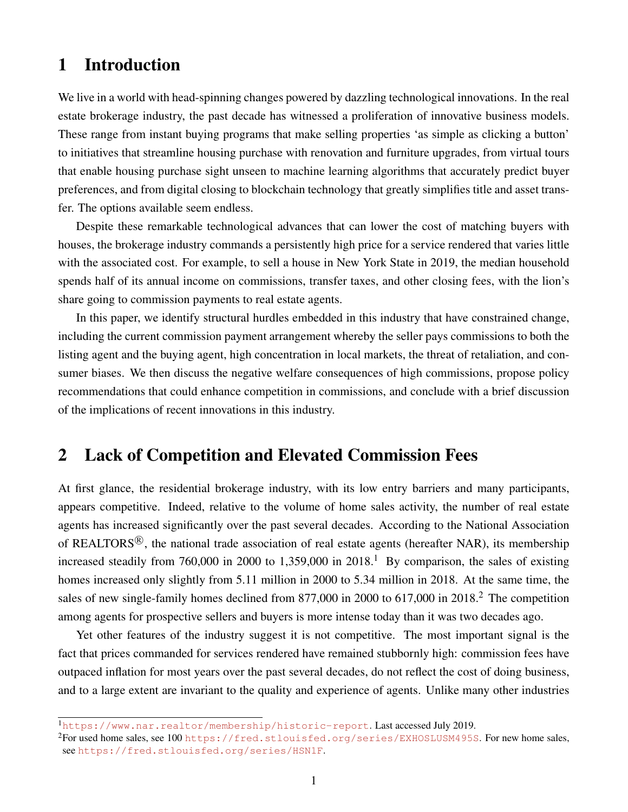## 1 Introduction

We live in a world with head-spinning changes powered by dazzling technological innovations. In the real estate brokerage industry, the past decade has witnessed a proliferation of innovative business models. These range from instant buying programs that make selling properties 'as simple as clicking a button' to initiatives that streamline housing purchase with renovation and furniture upgrades, from virtual tours that enable housing purchase sight unseen to machine learning algorithms that accurately predict buyer preferences, and from digital closing to blockchain technology that greatly simplifies title and asset transfer. The options available seem endless.

Despite these remarkable technological advances that can lower the cost of matching buyers with houses, the brokerage industry commands a persistently high price for a service rendered that varies little with the associated cost. For example, to sell a house in New York State in 2019, the median household spends half of its annual income on commissions, transfer taxes, and other closing fees, with the lion's share going to commission payments to real estate agents.

In this paper, we identify structural hurdles embedded in this industry that have constrained change, including the current commission payment arrangement whereby the seller pays commissions to both the listing agent and the buying agent, high concentration in local markets, the threat of retaliation, and consumer biases. We then discuss the negative welfare consequences of high commissions, propose policy recommendations that could enhance competition in commissions, and conclude with a brief discussion of the implications of recent innovations in this industry.

### 2 Lack of Competition and Elevated Commission Fees

At first glance, the residential brokerage industry, with its low entry barriers and many participants, appears competitive. Indeed, relative to the volume of home sales activity, the number of real estate agents has increased significantly over the past several decades. According to the National Association of REALTORS $\mathcal{B}$ , the national trade association of real estate agents (hereafter NAR), its membership increased steadily from 760,000 in 2000 to 1,359,000 in 2018.<sup>1</sup> By comparison, the sales of existing homes increased only slightly from 5.11 million in 2000 to 5.34 million in 2018. At the same time, the sales of new single-family homes declined from 877,000 in 2000 to 617,000 in 2018.<sup>2</sup> The competition among agents for prospective sellers and buyers is more intense today than it was two decades ago.

Yet other features of the industry suggest it is not competitive. The most important signal is the fact that prices commanded for services rendered have remained stubbornly high: commission fees have outpaced inflation for most years over the past several decades, do not reflect the cost of doing business, and to a large extent are invariant to the quality and experience of agents. Unlike many other industries

<sup>1</sup><https://www.nar.realtor/membership/historic-report>. Last accessed July 2019.

 ${}^{2}$ For used home sales, see 100 <https://fred.stlouisfed.org/series/EXHOSLUSM495S>. For new home sales, see [https://fred.stlouisfed.org/series/HSN1F]( https://fred.stlouisfed.org/series/HSN1F).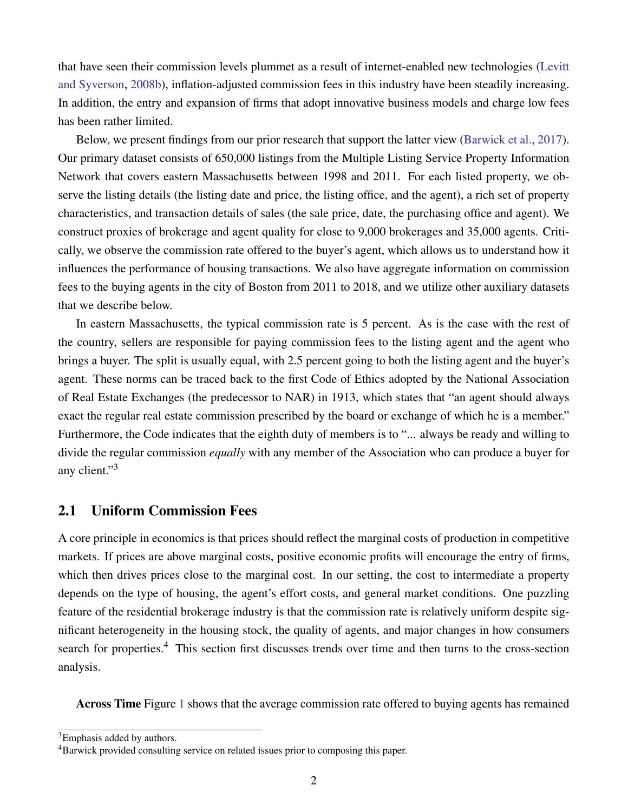that have seen their commission levels plummet as a result of internet-enabled new technologies [\(Levitt](#page-26-0) [and Syverson,](#page-26-0) [2008b\)](#page-26-0), inflation-adjusted commission fees in this industry have been steadily increasing. In addition, the entry and expansion of firms that adopt innovative business models and charge low fees has been rather limited.

Below, we present findings from our prior research that support the latter view [\(Barwick et al.,](#page-25-0) [2017\)](#page-25-0). Our primary dataset consists of 650,000 listings from the Multiple Listing Service Property Information Network that covers eastern Massachusetts between 1998 and 2011. For each listed property, we observe the listing details (the listing date and price, the listing office, and the agent), a rich set of property characteristics, and transaction details of sales (the sale price, date, the purchasing office and agent). We construct proxies of brokerage and agent quality for close to 9,000 brokerages and 35,000 agents. Critically, we observe the commission rate offered to the buyer's agent, which allows us to understand how it influences the performance of housing transactions. We also have aggregate information on commission fees to the buying agents in the city of Boston from 2011 to 2018, and we utilize other auxiliary datasets that we describe below.

In eastern Massachusetts, the typical commission rate is 5 percent. As is the case with the rest of the country, sellers are responsible for paying commission fees to the listing agent and the agent who brings a buyer. The split is usually equal, with 2.5 percent going to both the listing agent and the buyer's agent. These norms can be traced back to the first Code of Ethics adopted by the National Association of Real Estate Exchanges (the predecessor to NAR) in 1913, which states that "an agent should always exact the regular real estate commission prescribed by the board or exchange of which he is a member." Furthermore, the Code indicates that the eighth duty of members is to "... always be ready and willing to divide the regular commission *equally* with any member of the Association who can produce a buyer for any client."<sup>3</sup>

#### 2.1 Uniform Commission Fees

A core principle in economics is that prices should reflect the marginal costs of production in competitive markets. If prices are above marginal costs, positive economic profits will encourage the entry of firms, which then drives prices close to the marginal cost. In our setting, the cost to intermediate a property depends on the type of housing, the agent's effort costs, and general market conditions. One puzzling feature of the residential brokerage industry is that the commission rate is relatively uniform despite significant heterogeneity in the housing stock, the quality of agents, and major changes in how consumers search for properties.<sup>4</sup> This section first discusses trends over time and then turns to the cross-section analysis.

Across Time Figure [1](#page-28-0) shows that the average commission rate offered to buying agents has remained

<sup>3</sup>Emphasis added by authors.

<sup>&</sup>lt;sup>4</sup>Barwick provided consulting service on related issues prior to composing this paper.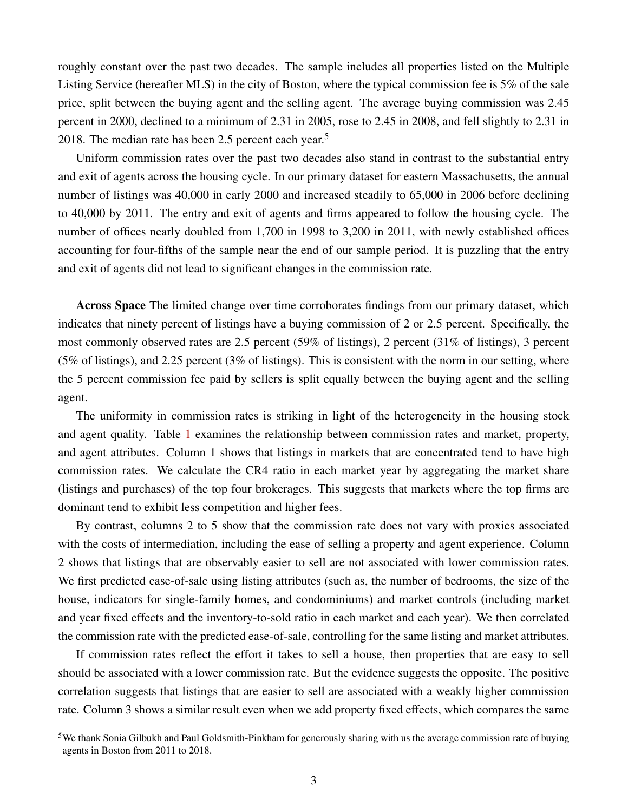roughly constant over the past two decades. The sample includes all properties listed on the Multiple Listing Service (hereafter MLS) in the city of Boston, where the typical commission fee is 5% of the sale price, split between the buying agent and the selling agent. The average buying commission was 2.45 percent in 2000, declined to a minimum of 2.31 in 2005, rose to 2.45 in 2008, and fell slightly to 2.31 in 2018. The median rate has been 2.5 percent each year.<sup>5</sup>

Uniform commission rates over the past two decades also stand in contrast to the substantial entry and exit of agents across the housing cycle. In our primary dataset for eastern Massachusetts, the annual number of listings was 40,000 in early 2000 and increased steadily to 65,000 in 2006 before declining to 40,000 by 2011. The entry and exit of agents and firms appeared to follow the housing cycle. The number of offices nearly doubled from 1,700 in 1998 to 3,200 in 2011, with newly established offices accounting for four-fifths of the sample near the end of our sample period. It is puzzling that the entry and exit of agents did not lead to significant changes in the commission rate.

Across Space The limited change over time corroborates findings from our primary dataset, which indicates that ninety percent of listings have a buying commission of 2 or 2.5 percent. Specifically, the most commonly observed rates are 2.5 percent (59% of listings), 2 percent (31% of listings), 3 percent (5% of listings), and 2.25 percent (3% of listings). This is consistent with the norm in our setting, where the 5 percent commission fee paid by sellers is split equally between the buying agent and the selling agent.

The uniformity in commission rates is striking in light of the heterogeneity in the housing stock and agent quality. Table [1](#page-31-0) examines the relationship between commission rates and market, property, and agent attributes. Column 1 shows that listings in markets that are concentrated tend to have high commission rates. We calculate the CR4 ratio in each market year by aggregating the market share (listings and purchases) of the top four brokerages. This suggests that markets where the top firms are dominant tend to exhibit less competition and higher fees.

By contrast, columns 2 to 5 show that the commission rate does not vary with proxies associated with the costs of intermediation, including the ease of selling a property and agent experience. Column 2 shows that listings that are observably easier to sell are not associated with lower commission rates. We first predicted ease-of-sale using listing attributes (such as, the number of bedrooms, the size of the house, indicators for single-family homes, and condominiums) and market controls (including market and year fixed effects and the inventory-to-sold ratio in each market and each year). We then correlated the commission rate with the predicted ease-of-sale, controlling for the same listing and market attributes.

If commission rates reflect the effort it takes to sell a house, then properties that are easy to sell should be associated with a lower commission rate. But the evidence suggests the opposite. The positive correlation suggests that listings that are easier to sell are associated with a weakly higher commission rate. Column 3 shows a similar result even when we add property fixed effects, which compares the same

 $5W$ e thank Sonia Gilbukh and Paul Goldsmith-Pinkham for generously sharing with us the average commission rate of buying agents in Boston from 2011 to 2018.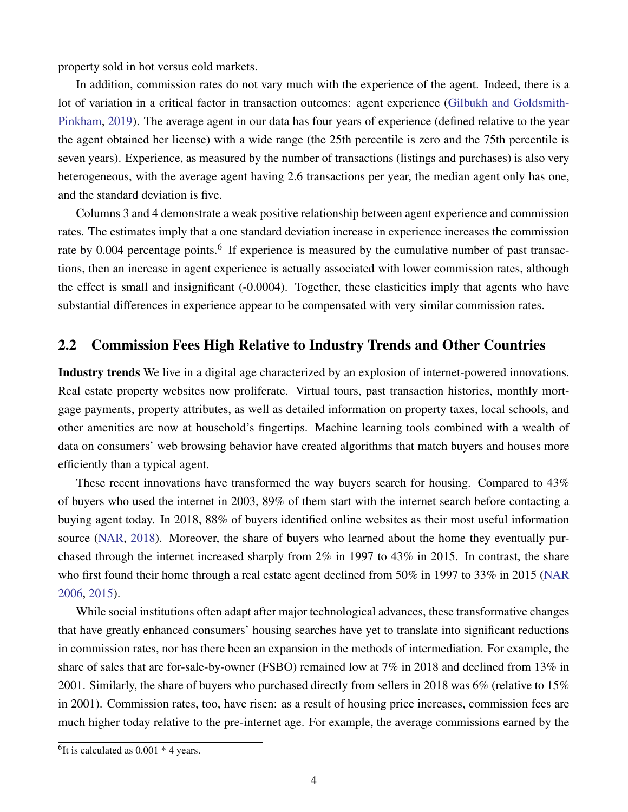property sold in hot versus cold markets.

In addition, commission rates do not vary much with the experience of the agent. Indeed, there is a lot of variation in a critical factor in transaction outcomes: agent experience [\(Gilbukh and Goldsmith-](#page-26-1)[Pinkham,](#page-26-1) [2019\)](#page-26-1). The average agent in our data has four years of experience (defined relative to the year the agent obtained her license) with a wide range (the 25th percentile is zero and the 75th percentile is seven years). Experience, as measured by the number of transactions (listings and purchases) is also very heterogeneous, with the average agent having 2.6 transactions per year, the median agent only has one, and the standard deviation is five.

Columns 3 and 4 demonstrate a weak positive relationship between agent experience and commission rates. The estimates imply that a one standard deviation increase in experience increases the commission rate by 0.004 percentage points.<sup>6</sup> If experience is measured by the cumulative number of past transactions, then an increase in agent experience is actually associated with lower commission rates, although the effect is small and insignificant (-0.0004). Together, these elasticities imply that agents who have substantial differences in experience appear to be compensated with very similar commission rates.

### <span id="page-4-0"></span>2.2 Commission Fees High Relative to Industry Trends and Other Countries

Industry trends We live in a digital age characterized by an explosion of internet-powered innovations. Real estate property websites now proliferate. Virtual tours, past transaction histories, monthly mortgage payments, property attributes, as well as detailed information on property taxes, local schools, and other amenities are now at household's fingertips. Machine learning tools combined with a wealth of data on consumers' web browsing behavior have created algorithms that match buyers and houses more efficiently than a typical agent.

These recent innovations have transformed the way buyers search for housing. Compared to 43% of buyers who used the internet in 2003, 89% of them start with the internet search before contacting a buying agent today. In 2018, 88% of buyers identified online websites as their most useful information source [\(NAR,](#page-26-2) [2018\)](#page-26-2). Moreover, the share of buyers who learned about the home they eventually purchased through the internet increased sharply from 2% in 1997 to 43% in 2015. In contrast, the share who first found their home through a real estate agent declined from 50% in 1997 to 33% in 2015 [\(NAR](#page-26-3) [2006,](#page-26-3) [2015\)](#page-26-4).

While social institutions often adapt after major technological advances, these transformative changes that have greatly enhanced consumers' housing searches have yet to translate into significant reductions in commission rates, nor has there been an expansion in the methods of intermediation. For example, the share of sales that are for-sale-by-owner (FSBO) remained low at 7% in 2018 and declined from 13% in 2001. Similarly, the share of buyers who purchased directly from sellers in 2018 was 6% (relative to 15% in 2001). Commission rates, too, have risen: as a result of housing price increases, commission fees are much higher today relative to the pre-internet age. For example, the average commissions earned by the

 ${}^{6}$ It is calculated as 0.001  $*$  4 years.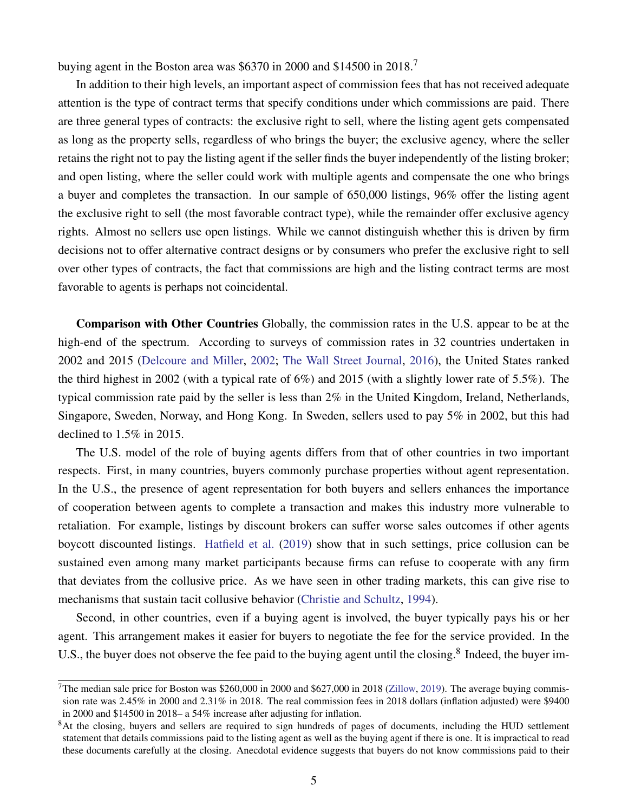buying agent in the Boston area was \$6370 in 2000 and \$14500 in 2018.<sup>7</sup>

In addition to their high levels, an important aspect of commission fees that has not received adequate attention is the type of contract terms that specify conditions under which commissions are paid. There are three general types of contracts: the exclusive right to sell, where the listing agent gets compensated as long as the property sells, regardless of who brings the buyer; the exclusive agency, where the seller retains the right not to pay the listing agent if the seller finds the buyer independently of the listing broker; and open listing, where the seller could work with multiple agents and compensate the one who brings a buyer and completes the transaction. In our sample of 650,000 listings, 96% offer the listing agent the exclusive right to sell (the most favorable contract type), while the remainder offer exclusive agency rights. Almost no sellers use open listings. While we cannot distinguish whether this is driven by firm decisions not to offer alternative contract designs or by consumers who prefer the exclusive right to sell over other types of contracts, the fact that commissions are high and the listing contract terms are most favorable to agents is perhaps not coincidental.

Comparison with Other Countries Globally, the commission rates in the U.S. appear to be at the high-end of the spectrum. According to surveys of commission rates in 32 countries undertaken in 2002 and 2015 [\(Delcoure and Miller,](#page-25-1) [2002;](#page-25-1) [The Wall Street Journal,](#page-27-0) [2016\)](#page-27-0), the United States ranked the third highest in 2002 (with a typical rate of 6%) and 2015 (with a slightly lower rate of 5.5%). The typical commission rate paid by the seller is less than 2% in the United Kingdom, Ireland, Netherlands, Singapore, Sweden, Norway, and Hong Kong. In Sweden, sellers used to pay 5% in 2002, but this had declined to 1.5% in 2015.

The U.S. model of the role of buying agents differs from that of other countries in two important respects. First, in many countries, buyers commonly purchase properties without agent representation. In the U.S., the presence of agent representation for both buyers and sellers enhances the importance of cooperation between agents to complete a transaction and makes this industry more vulnerable to retaliation. For example, listings by discount brokers can suffer worse sales outcomes if other agents boycott discounted listings. [Hatfield et al.](#page-26-5) [\(2019\)](#page-26-5) show that in such settings, price collusion can be sustained even among many market participants because firms can refuse to cooperate with any firm that deviates from the collusive price. As we have seen in other trading markets, this can give rise to mechanisms that sustain tacit collusive behavior [\(Christie and Schultz,](#page-25-2) [1994\)](#page-25-2).

Second, in other countries, even if a buying agent is involved, the buyer typically pays his or her agent. This arrangement makes it easier for buyers to negotiate the fee for the service provided. In the U.S., the buyer does not observe the fee paid to the buying agent until the closing.<sup>8</sup> Indeed, the buyer im-

<sup>&</sup>lt;sup>7</sup>The median sale price for Boston was \$260,000 in 2000 and \$627,000 in 2018 [\(Zillow,](#page-27-1) [2019\)](#page-27-1). The average buying commission rate was 2.45% in 2000 and 2.31% in 2018. The real commission fees in 2018 dollars (inflation adjusted) were \$9400 in 2000 and \$14500 in 2018– a 54% increase after adjusting for inflation.

<sup>&</sup>lt;sup>8</sup>At the closing, buyers and sellers are required to sign hundreds of pages of documents, including the HUD settlement statement that details commissions paid to the listing agent as well as the buying agent if there is one. It is impractical to read these documents carefully at the closing. Anecdotal evidence suggests that buyers do not know commissions paid to their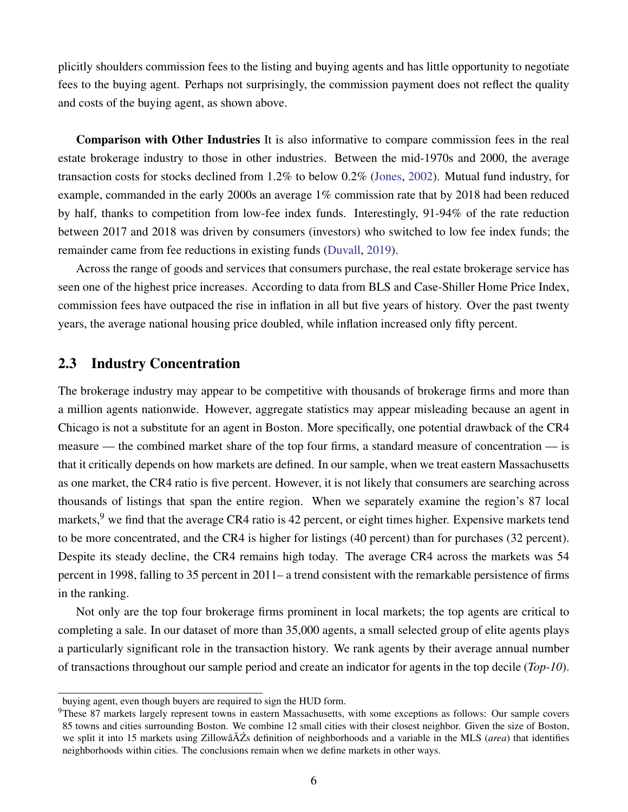plicitly shoulders commission fees to the listing and buying agents and has little opportunity to negotiate fees to the buying agent. Perhaps not surprisingly, the commission payment does not reflect the quality and costs of the buying agent, as shown above.

Comparison with Other Industries It is also informative to compare commission fees in the real estate brokerage industry to those in other industries. Between the mid-1970s and 2000, the average transaction costs for stocks declined from 1.2% to below 0.2% [\(Jones,](#page-26-6) [2002\)](#page-26-6). Mutual fund industry, for example, commanded in the early 2000s an average 1% commission rate that by 2018 had been reduced by half, thanks to competition from low-fee index funds. Interestingly, 91-94% of the rate reduction between 2017 and 2018 was driven by consumers (investors) who switched to low fee index funds; the remainder came from fee reductions in existing funds [\(Duvall,](#page-25-3) [2019\)](#page-25-3).

Across the range of goods and services that consumers purchase, the real estate brokerage service has seen one of the highest price increases. According to data from BLS and Case-Shiller Home Price Index, commission fees have outpaced the rise in inflation in all but five years of history. Over the past twenty years, the average national housing price doubled, while inflation increased only fifty percent.

### 2.3 Industry Concentration

The brokerage industry may appear to be competitive with thousands of brokerage firms and more than a million agents nationwide. However, aggregate statistics may appear misleading because an agent in Chicago is not a substitute for an agent in Boston. More specifically, one potential drawback of the CR4 measure — the combined market share of the top four firms, a standard measure of concentration — is that it critically depends on how markets are defined. In our sample, when we treat eastern Massachusetts as one market, the CR4 ratio is five percent. However, it is not likely that consumers are searching across thousands of listings that span the entire region. When we separately examine the region's 87 local markets, <sup>9</sup> we find that the average CR4 ratio is 42 percent, or eight times higher. Expensive markets tend to be more concentrated, and the CR4 is higher for listings (40 percent) than for purchases (32 percent). Despite its steady decline, the CR4 remains high today. The average CR4 across the markets was 54 percent in 1998, falling to 35 percent in 2011– a trend consistent with the remarkable persistence of firms in the ranking.

Not only are the top four brokerage firms prominent in local markets; the top agents are critical to completing a sale. In our dataset of more than 35,000 agents, a small selected group of elite agents plays a particularly significant role in the transaction history. We rank agents by their average annual number of transactions throughout our sample period and create an indicator for agents in the top decile (*Top-10*).

buying agent, even though buyers are required to sign the HUD form.

<sup>&</sup>lt;sup>9</sup>These 87 markets largely represent towns in eastern Massachusetts, with some exceptions as follows: Our sample covers 85 towns and cities surrounding Boston. We combine 12 small cities with their closest neighbor. Given the size of Boston, we split it into 15 markets using Zillowâ $\tilde{A}Zs$  definition of neighborhoods and a variable in the MLS (*area*) that identifies neighborhoods within cities. The conclusions remain when we define markets in other ways.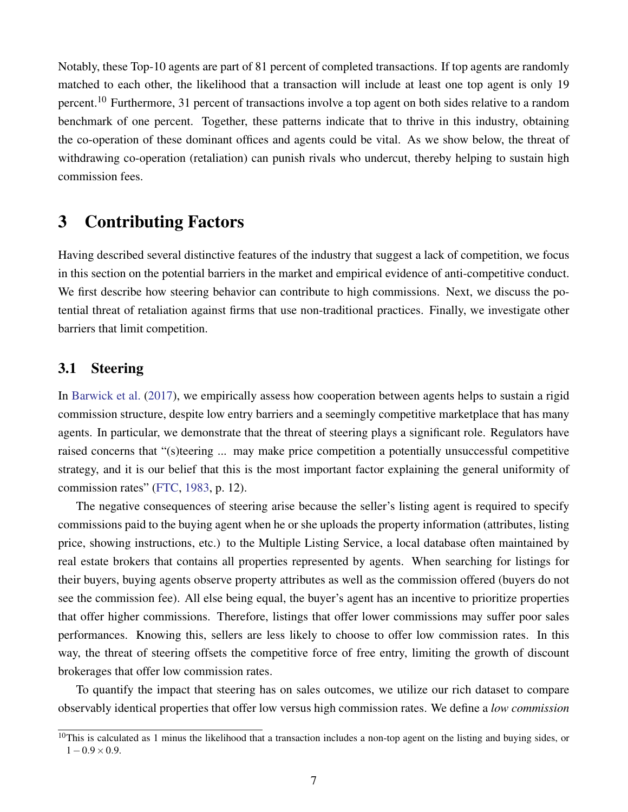Notably, these Top-10 agents are part of 81 percent of completed transactions. If top agents are randomly matched to each other, the likelihood that a transaction will include at least one top agent is only 19 percent.<sup>10</sup> Furthermore, 31 percent of transactions involve a top agent on both sides relative to a random benchmark of one percent. Together, these patterns indicate that to thrive in this industry, obtaining the co-operation of these dominant offices and agents could be vital. As we show below, the threat of withdrawing co-operation (retaliation) can punish rivals who undercut, thereby helping to sustain high commission fees.

### 3 Contributing Factors

Having described several distinctive features of the industry that suggest a lack of competition, we focus in this section on the potential barriers in the market and empirical evidence of anti-competitive conduct. We first describe how steering behavior can contribute to high commissions. Next, we discuss the potential threat of retaliation against firms that use non-traditional practices. Finally, we investigate other barriers that limit competition.

### <span id="page-7-0"></span>3.1 Steering

In [Barwick et al.](#page-25-0) [\(2017\)](#page-25-0), we empirically assess how cooperation between agents helps to sustain a rigid commission structure, despite low entry barriers and a seemingly competitive marketplace that has many agents. In particular, we demonstrate that the threat of steering plays a significant role. Regulators have raised concerns that "(s)teering ... may make price competition a potentially unsuccessful competitive strategy, and it is our belief that this is the most important factor explaining the general uniformity of commission rates" [\(FTC,](#page-25-4) [1983,](#page-25-4) p. 12).

The negative consequences of steering arise because the seller's listing agent is required to specify commissions paid to the buying agent when he or she uploads the property information (attributes, listing price, showing instructions, etc.) to the Multiple Listing Service, a local database often maintained by real estate brokers that contains all properties represented by agents. When searching for listings for their buyers, buying agents observe property attributes as well as the commission offered (buyers do not see the commission fee). All else being equal, the buyer's agent has an incentive to prioritize properties that offer higher commissions. Therefore, listings that offer lower commissions may suffer poor sales performances. Knowing this, sellers are less likely to choose to offer low commission rates. In this way, the threat of steering offsets the competitive force of free entry, limiting the growth of discount brokerages that offer low commission rates.

To quantify the impact that steering has on sales outcomes, we utilize our rich dataset to compare observably identical properties that offer low versus high commission rates. We define a *low commission*

 $10$ This is calculated as 1 minus the likelihood that a transaction includes a non-top agent on the listing and buying sides, or  $1-0.9\times0.9$ .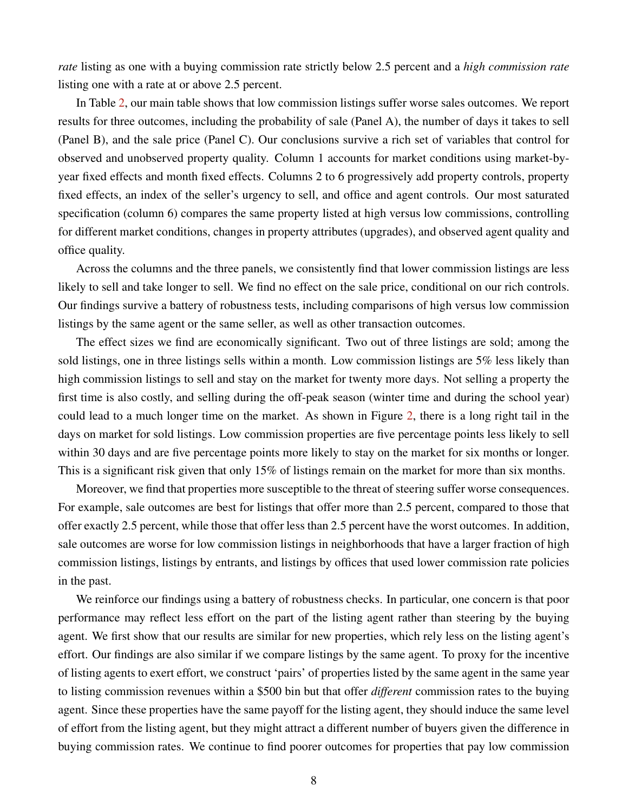*rate* listing as one with a buying commission rate strictly below 2.5 percent and a *high commission rate* listing one with a rate at or above 2.5 percent.

In Table [2,](#page-32-0) our main table shows that low commission listings suffer worse sales outcomes. We report results for three outcomes, including the probability of sale (Panel A), the number of days it takes to sell (Panel B), and the sale price (Panel C). Our conclusions survive a rich set of variables that control for observed and unobserved property quality. Column 1 accounts for market conditions using market-byyear fixed effects and month fixed effects. Columns 2 to 6 progressively add property controls, property fixed effects, an index of the seller's urgency to sell, and office and agent controls. Our most saturated specification (column 6) compares the same property listed at high versus low commissions, controlling for different market conditions, changes in property attributes (upgrades), and observed agent quality and office quality.

Across the columns and the three panels, we consistently find that lower commission listings are less likely to sell and take longer to sell. We find no effect on the sale price, conditional on our rich controls. Our findings survive a battery of robustness tests, including comparisons of high versus low commission listings by the same agent or the same seller, as well as other transaction outcomes.

The effect sizes we find are economically significant. Two out of three listings are sold; among the sold listings, one in three listings sells within a month. Low commission listings are 5% less likely than high commission listings to sell and stay on the market for twenty more days. Not selling a property the first time is also costly, and selling during the off-peak season (winter time and during the school year) could lead to a much longer time on the market. As shown in Figure [2,](#page-29-0) there is a long right tail in the days on market for sold listings. Low commission properties are five percentage points less likely to sell within 30 days and are five percentage points more likely to stay on the market for six months or longer. This is a significant risk given that only 15% of listings remain on the market for more than six months.

Moreover, we find that properties more susceptible to the threat of steering suffer worse consequences. For example, sale outcomes are best for listings that offer more than 2.5 percent, compared to those that offer exactly 2.5 percent, while those that offer less than 2.5 percent have the worst outcomes. In addition, sale outcomes are worse for low commission listings in neighborhoods that have a larger fraction of high commission listings, listings by entrants, and listings by offices that used lower commission rate policies in the past.

We reinforce our findings using a battery of robustness checks. In particular, one concern is that poor performance may reflect less effort on the part of the listing agent rather than steering by the buying agent. We first show that our results are similar for new properties, which rely less on the listing agent's effort. Our findings are also similar if we compare listings by the same agent. To proxy for the incentive of listing agents to exert effort, we construct 'pairs' of properties listed by the same agent in the same year to listing commission revenues within a \$500 bin but that offer *different* commission rates to the buying agent. Since these properties have the same payoff for the listing agent, they should induce the same level of effort from the listing agent, but they might attract a different number of buyers given the difference in buying commission rates. We continue to find poorer outcomes for properties that pay low commission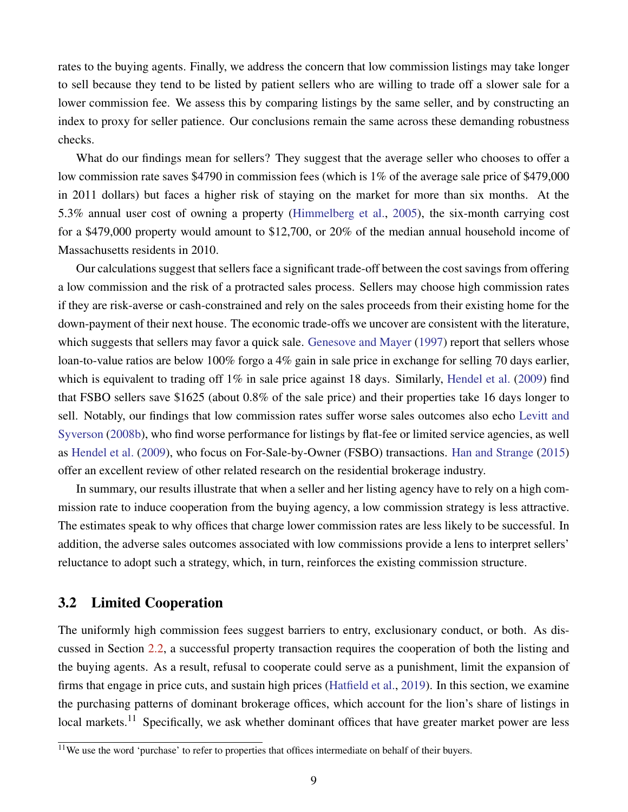rates to the buying agents. Finally, we address the concern that low commission listings may take longer to sell because they tend to be listed by patient sellers who are willing to trade off a slower sale for a lower commission fee. We assess this by comparing listings by the same seller, and by constructing an index to proxy for seller patience. Our conclusions remain the same across these demanding robustness checks.

What do our findings mean for sellers? They suggest that the average seller who chooses to offer a low commission rate saves \$4790 in commission fees (which is 1% of the average sale price of \$479,000 in 2011 dollars) but faces a higher risk of staying on the market for more than six months. At the 5.3% annual user cost of owning a property [\(Himmelberg et al.,](#page-26-7) [2005\)](#page-26-7), the six-month carrying cost for a \$479,000 property would amount to \$12,700, or 20% of the median annual household income of Massachusetts residents in 2010.

Our calculations suggest that sellers face a significant trade-off between the cost savings from offering a low commission and the risk of a protracted sales process. Sellers may choose high commission rates if they are risk-averse or cash-constrained and rely on the sales proceeds from their existing home for the down-payment of their next house. The economic trade-offs we uncover are consistent with the literature, which suggests that sellers may favor a quick sale. [Genesove and Mayer](#page-25-5) [\(1997\)](#page-25-5) report that sellers whose loan-to-value ratios are below 100% forgo a 4% gain in sale price in exchange for selling 70 days earlier, which is equivalent to trading off  $1\%$  in sale price against 18 days. Similarly, [Hendel et al.](#page-26-8) [\(2009\)](#page-26-8) find that FSBO sellers save \$1625 (about 0.8% of the sale price) and their properties take 16 days longer to sell. Notably, our findings that low commission rates suffer worse sales outcomes also echo [Levitt and](#page-26-0) [Syverson](#page-26-0) [\(2008b\)](#page-26-0), who find worse performance for listings by flat-fee or limited service agencies, as well as [Hendel et al.](#page-26-8) [\(2009\)](#page-26-8), who focus on For-Sale-by-Owner (FSBO) transactions. [Han and Strange](#page-26-9) [\(2015\)](#page-26-9) offer an excellent review of other related research on the residential brokerage industry.

In summary, our results illustrate that when a seller and her listing agency have to rely on a high commission rate to induce cooperation from the buying agency, a low commission strategy is less attractive. The estimates speak to why offices that charge lower commission rates are less likely to be successful. In addition, the adverse sales outcomes associated with low commissions provide a lens to interpret sellers' reluctance to adopt such a strategy, which, in turn, reinforces the existing commission structure.

### <span id="page-9-0"></span>3.2 Limited Cooperation

The uniformly high commission fees suggest barriers to entry, exclusionary conduct, or both. As discussed in Section [2.2,](#page-4-0) a successful property transaction requires the cooperation of both the listing and the buying agents. As a result, refusal to cooperate could serve as a punishment, limit the expansion of firms that engage in price cuts, and sustain high prices [\(Hatfield et al.,](#page-26-5) [2019\)](#page-26-5). In this section, we examine the purchasing patterns of dominant brokerage offices, which account for the lion's share of listings in local markets.<sup>11</sup> Specifically, we ask whether dominant offices that have greater market power are less

 $11$ We use the word 'purchase' to refer to properties that offices intermediate on behalf of their buyers.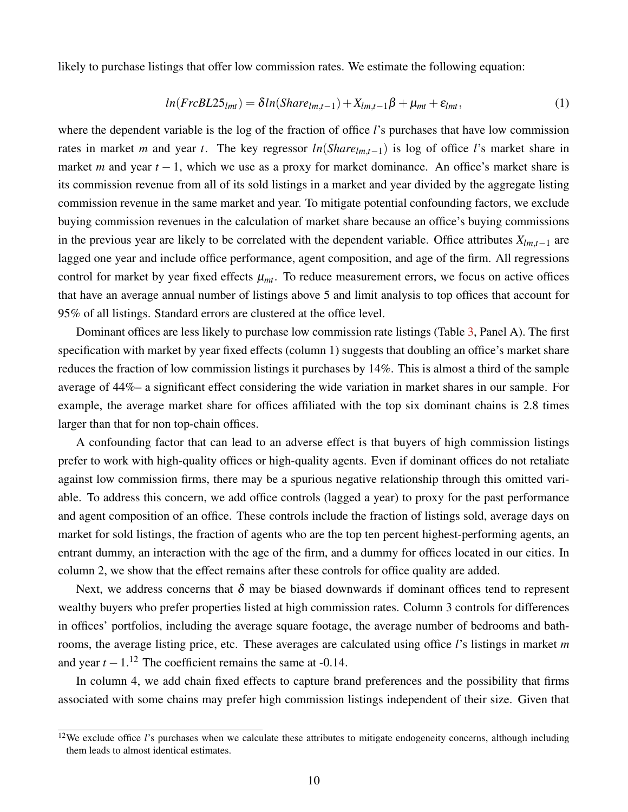<span id="page-10-0"></span>likely to purchase listings that offer low commission rates. We estimate the following equation:

$$
ln(FrcBL25_{lmt}) = \delta ln(Share_{lmt-1}) + X_{lmt-1}\beta + \mu_{mt} + \varepsilon_{lmt}, \tag{1}
$$

where the dependent variable is the log of the fraction of office *l*'s purchases that have low commission rates in market *m* and year *t*. The key regressor *ln*(*Sharelm*,*t*−1) is log of office *l*'s market share in market *m* and year *t* − 1, which we use as a proxy for market dominance. An office's market share is its commission revenue from all of its sold listings in a market and year divided by the aggregate listing commission revenue in the same market and year. To mitigate potential confounding factors, we exclude buying commission revenues in the calculation of market share because an office's buying commissions in the previous year are likely to be correlated with the dependent variable. Office attributes *Xlm*,*t*−<sup>1</sup> are lagged one year and include office performance, agent composition, and age of the firm. All regressions control for market by year fixed effects  $\mu_{mt}$ . To reduce measurement errors, we focus on active offices that have an average annual number of listings above 5 and limit analysis to top offices that account for 95% of all listings. Standard errors are clustered at the office level.

Dominant offices are less likely to purchase low commission rate listings (Table [3,](#page-33-0) Panel A). The first specification with market by year fixed effects (column 1) suggests that doubling an office's market share reduces the fraction of low commission listings it purchases by 14%. This is almost a third of the sample average of 44%– a significant effect considering the wide variation in market shares in our sample. For example, the average market share for offices affiliated with the top six dominant chains is 2.8 times larger than that for non top-chain offices.

A confounding factor that can lead to an adverse effect is that buyers of high commission listings prefer to work with high-quality offices or high-quality agents. Even if dominant offices do not retaliate against low commission firms, there may be a spurious negative relationship through this omitted variable. To address this concern, we add office controls (lagged a year) to proxy for the past performance and agent composition of an office. These controls include the fraction of listings sold, average days on market for sold listings, the fraction of agents who are the top ten percent highest-performing agents, an entrant dummy, an interaction with the age of the firm, and a dummy for offices located in our cities. In column 2, we show that the effect remains after these controls for office quality are added.

Next, we address concerns that  $\delta$  may be biased downwards if dominant offices tend to represent wealthy buyers who prefer properties listed at high commission rates. Column 3 controls for differences in offices' portfolios, including the average square footage, the average number of bedrooms and bathrooms, the average listing price, etc. These averages are calculated using office *l*'s listings in market *m* and year  $t - 1$ .<sup>12</sup> The coefficient remains the same at -0.14.

In column 4, we add chain fixed effects to capture brand preferences and the possibility that firms associated with some chains may prefer high commission listings independent of their size. Given that

 $12$ We exclude office *l*'s purchases when we calculate these attributes to mitigate endogeneity concerns, although including them leads to almost identical estimates.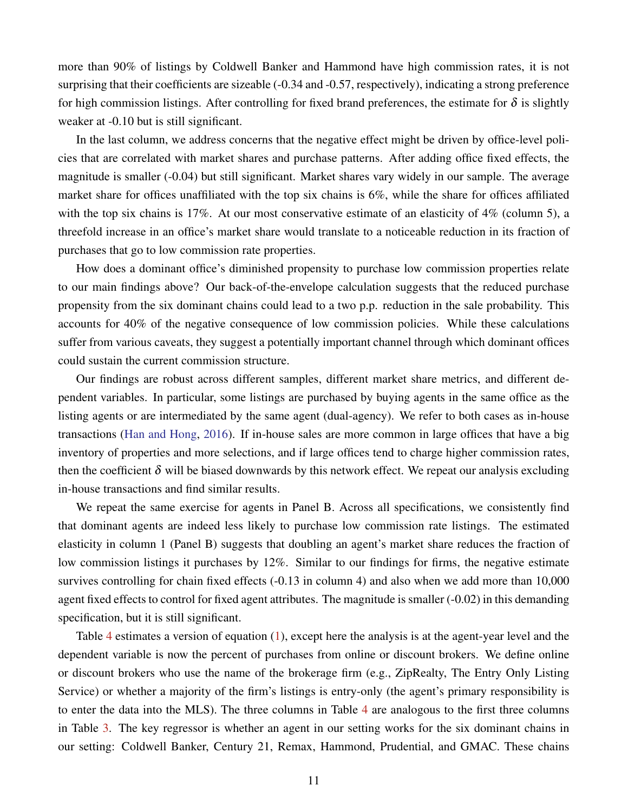more than 90% of listings by Coldwell Banker and Hammond have high commission rates, it is not surprising that their coefficients are sizeable (-0.34 and -0.57, respectively), indicating a strong preference for high commission listings. After controlling for fixed brand preferences, the estimate for  $\delta$  is slightly weaker at -0.10 but is still significant.

In the last column, we address concerns that the negative effect might be driven by office-level policies that are correlated with market shares and purchase patterns. After adding office fixed effects, the magnitude is smaller (-0.04) but still significant. Market shares vary widely in our sample. The average market share for offices unaffiliated with the top six chains is 6%, while the share for offices affiliated with the top six chains is 17%. At our most conservative estimate of an elasticity of 4% (column 5), a threefold increase in an office's market share would translate to a noticeable reduction in its fraction of purchases that go to low commission rate properties.

How does a dominant office's diminished propensity to purchase low commission properties relate to our main findings above? Our back-of-the-envelope calculation suggests that the reduced purchase propensity from the six dominant chains could lead to a two p.p. reduction in the sale probability. This accounts for 40% of the negative consequence of low commission policies. While these calculations suffer from various caveats, they suggest a potentially important channel through which dominant offices could sustain the current commission structure.

Our findings are robust across different samples, different market share metrics, and different dependent variables. In particular, some listings are purchased by buying agents in the same office as the listing agents or are intermediated by the same agent (dual-agency). We refer to both cases as in-house transactions [\(Han and Hong,](#page-26-10) [2016\)](#page-26-10). If in-house sales are more common in large offices that have a big inventory of properties and more selections, and if large offices tend to charge higher commission rates, then the coefficient  $\delta$  will be biased downwards by this network effect. We repeat our analysis excluding in-house transactions and find similar results.

We repeat the same exercise for agents in Panel B. Across all specifications, we consistently find that dominant agents are indeed less likely to purchase low commission rate listings. The estimated elasticity in column 1 (Panel B) suggests that doubling an agent's market share reduces the fraction of low commission listings it purchases by 12%. Similar to our findings for firms, the negative estimate survives controlling for chain fixed effects (-0.13 in column 4) and also when we add more than 10,000 agent fixed effects to control for fixed agent attributes. The magnitude is smaller (-0.02) in this demanding specification, but it is still significant.

Table [4](#page-34-0) estimates a version of equation [\(1\)](#page-10-0), except here the analysis is at the agent-year level and the dependent variable is now the percent of purchases from online or discount brokers. We define online or discount brokers who use the name of the brokerage firm (e.g., ZipRealty, The Entry Only Listing Service) or whether a majority of the firm's listings is entry-only (the agent's primary responsibility is to enter the data into the MLS). The three columns in Table [4](#page-34-0) are analogous to the first three columns in Table [3.](#page-33-0) The key regressor is whether an agent in our setting works for the six dominant chains in our setting: Coldwell Banker, Century 21, Remax, Hammond, Prudential, and GMAC. These chains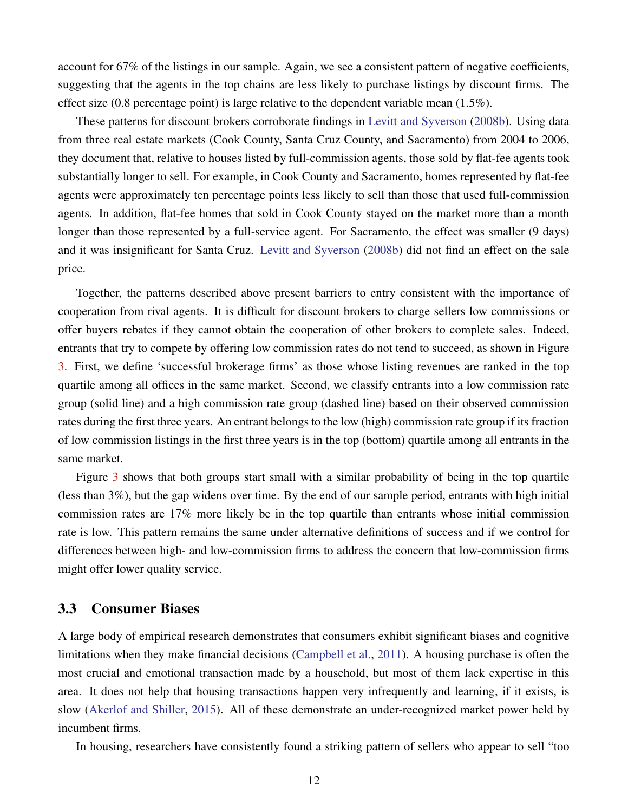account for 67% of the listings in our sample. Again, we see a consistent pattern of negative coefficients, suggesting that the agents in the top chains are less likely to purchase listings by discount firms. The effect size  $(0.8$  percentage point) is large relative to the dependent variable mean  $(1.5\%)$ .

These patterns for discount brokers corroborate findings in [Levitt and Syverson](#page-26-0) [\(2008b\)](#page-26-0). Using data from three real estate markets (Cook County, Santa Cruz County, and Sacramento) from 2004 to 2006, they document that, relative to houses listed by full-commission agents, those sold by flat-fee agents took substantially longer to sell. For example, in Cook County and Sacramento, homes represented by flat-fee agents were approximately ten percentage points less likely to sell than those that used full-commission agents. In addition, flat-fee homes that sold in Cook County stayed on the market more than a month longer than those represented by a full-service agent. For Sacramento, the effect was smaller (9 days) and it was insignificant for Santa Cruz. [Levitt and Syverson](#page-26-0) [\(2008b\)](#page-26-0) did not find an effect on the sale price.

Together, the patterns described above present barriers to entry consistent with the importance of cooperation from rival agents. It is difficult for discount brokers to charge sellers low commissions or offer buyers rebates if they cannot obtain the cooperation of other brokers to complete sales. Indeed, entrants that try to compete by offering low commission rates do not tend to succeed, as shown in Figure [3.](#page-30-0) First, we define 'successful brokerage firms' as those whose listing revenues are ranked in the top quartile among all offices in the same market. Second, we classify entrants into a low commission rate group (solid line) and a high commission rate group (dashed line) based on their observed commission rates during the first three years. An entrant belongs to the low (high) commission rate group if its fraction of low commission listings in the first three years is in the top (bottom) quartile among all entrants in the same market.

Figure [3](#page-30-0) shows that both groups start small with a similar probability of being in the top quartile (less than 3%), but the gap widens over time. By the end of our sample period, entrants with high initial commission rates are 17% more likely be in the top quartile than entrants whose initial commission rate is low. This pattern remains the same under alternative definitions of success and if we control for differences between high- and low-commission firms to address the concern that low-commission firms might offer lower quality service.

#### 3.3 Consumer Biases

A large body of empirical research demonstrates that consumers exhibit significant biases and cognitive limitations when they make financial decisions [\(Campbell et al.,](#page-25-6) [2011\)](#page-25-6). A housing purchase is often the most crucial and emotional transaction made by a household, but most of them lack expertise in this area. It does not help that housing transactions happen very infrequently and learning, if it exists, is slow [\(Akerlof and Shiller,](#page-25-7) [2015\)](#page-25-7). All of these demonstrate an under-recognized market power held by incumbent firms.

In housing, researchers have consistently found a striking pattern of sellers who appear to sell "too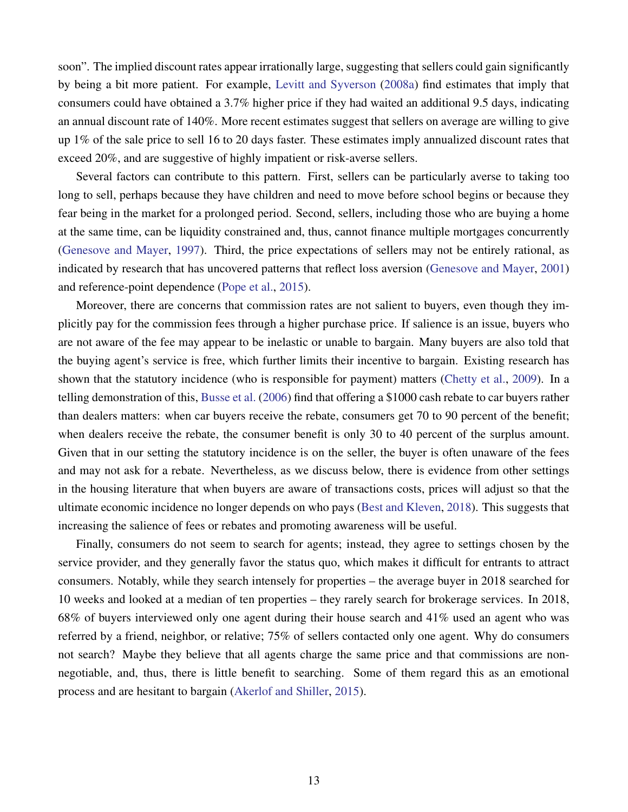soon". The implied discount rates appear irrationally large, suggesting that sellers could gain significantly by being a bit more patient. For example, [Levitt and Syverson](#page-26-11) [\(2008a\)](#page-26-11) find estimates that imply that consumers could have obtained a 3.7% higher price if they had waited an additional 9.5 days, indicating an annual discount rate of 140%. More recent estimates suggest that sellers on average are willing to give up 1% of the sale price to sell 16 to 20 days faster. These estimates imply annualized discount rates that exceed 20%, and are suggestive of highly impatient or risk-averse sellers.

Several factors can contribute to this pattern. First, sellers can be particularly averse to taking too long to sell, perhaps because they have children and need to move before school begins or because they fear being in the market for a prolonged period. Second, sellers, including those who are buying a home at the same time, can be liquidity constrained and, thus, cannot finance multiple mortgages concurrently [\(Genesove and Mayer,](#page-25-5) [1997\)](#page-25-5). Third, the price expectations of sellers may not be entirely rational, as indicated by research that has uncovered patterns that reflect loss aversion [\(Genesove and Mayer,](#page-26-12) [2001\)](#page-26-12) and reference-point dependence [\(Pope et al.,](#page-26-13) [2015\)](#page-26-13).

Moreover, there are concerns that commission rates are not salient to buyers, even though they implicitly pay for the commission fees through a higher purchase price. If salience is an issue, buyers who are not aware of the fee may appear to be inelastic or unable to bargain. Many buyers are also told that the buying agent's service is free, which further limits their incentive to bargain. Existing research has shown that the statutory incidence (who is responsible for payment) matters [\(Chetty et al.,](#page-25-8) [2009\)](#page-25-8). In a telling demonstration of this, [Busse et al.](#page-25-9) [\(2006\)](#page-25-9) find that offering a \$1000 cash rebate to car buyers rather than dealers matters: when car buyers receive the rebate, consumers get 70 to 90 percent of the benefit; when dealers receive the rebate, the consumer benefit is only 30 to 40 percent of the surplus amount. Given that in our setting the statutory incidence is on the seller, the buyer is often unaware of the fees and may not ask for a rebate. Nevertheless, as we discuss below, there is evidence from other settings in the housing literature that when buyers are aware of transactions costs, prices will adjust so that the ultimate economic incidence no longer depends on who pays [\(Best and Kleven,](#page-25-10) [2018\)](#page-25-10). This suggests that increasing the salience of fees or rebates and promoting awareness will be useful.

Finally, consumers do not seem to search for agents; instead, they agree to settings chosen by the service provider, and they generally favor the status quo, which makes it difficult for entrants to attract consumers. Notably, while they search intensely for properties – the average buyer in 2018 searched for 10 weeks and looked at a median of ten properties – they rarely search for brokerage services. In 2018, 68% of buyers interviewed only one agent during their house search and 41% used an agent who was referred by a friend, neighbor, or relative; 75% of sellers contacted only one agent. Why do consumers not search? Maybe they believe that all agents charge the same price and that commissions are nonnegotiable, and, thus, there is little benefit to searching. Some of them regard this as an emotional process and are hesitant to bargain [\(Akerlof and Shiller,](#page-25-7) [2015\)](#page-25-7).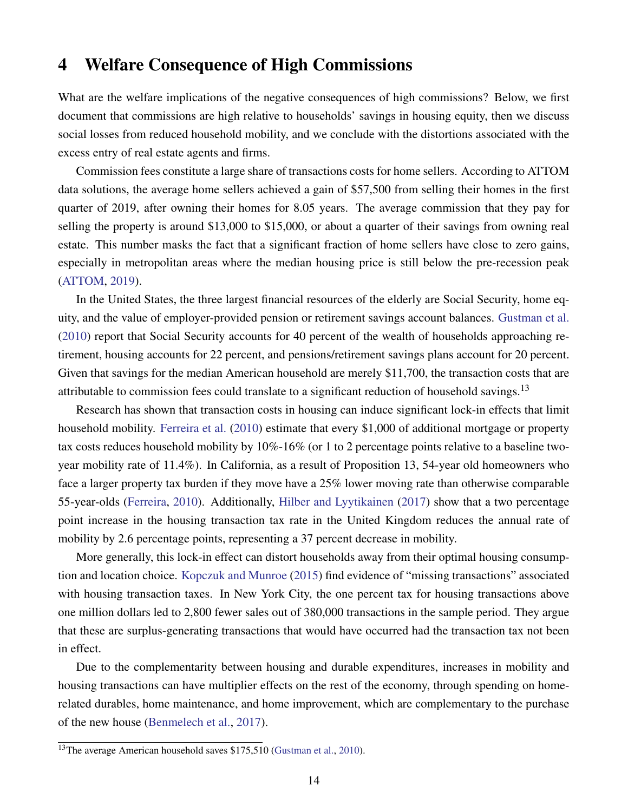### <span id="page-14-0"></span>4 Welfare Consequence of High Commissions

What are the welfare implications of the negative consequences of high commissions? Below, we first document that commissions are high relative to households' savings in housing equity, then we discuss social losses from reduced household mobility, and we conclude with the distortions associated with the excess entry of real estate agents and firms.

Commission fees constitute a large share of transactions costs for home sellers. According to ATTOM data solutions, the average home sellers achieved a gain of \$57,500 from selling their homes in the first quarter of 2019, after owning their homes for 8.05 years. The average commission that they pay for selling the property is around \$13,000 to \$15,000, or about a quarter of their savings from owning real estate. This number masks the fact that a significant fraction of home sellers have close to zero gains, especially in metropolitan areas where the median housing price is still below the pre-recession peak [\(ATTOM,](#page-25-11) [2019\)](#page-25-11).

In the United States, the three largest financial resources of the elderly are Social Security, home equity, and the value of employer-provided pension or retirement savings account balances. [Gustman et al.](#page-26-14) [\(2010\)](#page-26-14) report that Social Security accounts for 40 percent of the wealth of households approaching retirement, housing accounts for 22 percent, and pensions/retirement savings plans account for 20 percent. Given that savings for the median American household are merely \$11,700, the transaction costs that are attributable to commission fees could translate to a significant reduction of household savings.<sup>13</sup>

Research has shown that transaction costs in housing can induce significant lock-in effects that limit household mobility. [Ferreira et al.](#page-25-12) [\(2010\)](#page-25-12) estimate that every \$1,000 of additional mortgage or property tax costs reduces household mobility by 10%-16% (or 1 to 2 percentage points relative to a baseline twoyear mobility rate of 11.4%). In California, as a result of Proposition 13, 54-year old homeowners who face a larger property tax burden if they move have a 25% lower moving rate than otherwise comparable 55-year-olds [\(Ferreira,](#page-25-13) [2010\)](#page-25-13). Additionally, [Hilber and Lyytikainen](#page-26-15) [\(2017\)](#page-26-15) show that a two percentage point increase in the housing transaction tax rate in the United Kingdom reduces the annual rate of mobility by 2.6 percentage points, representing a 37 percent decrease in mobility.

More generally, this lock-in effect can distort households away from their optimal housing consumption and location choice. [Kopczuk and Munroe](#page-26-16) [\(2015\)](#page-26-16) find evidence of "missing transactions" associated with housing transaction taxes. In New York City, the one percent tax for housing transactions above one million dollars led to 2,800 fewer sales out of 380,000 transactions in the sample period. They argue that these are surplus-generating transactions that would have occurred had the transaction tax not been in effect.

Due to the complementarity between housing and durable expenditures, increases in mobility and housing transactions can have multiplier effects on the rest of the economy, through spending on homerelated durables, home maintenance, and home improvement, which are complementary to the purchase of the new house [\(Benmelech et al.,](#page-25-14) [2017\)](#page-25-14).

<sup>&</sup>lt;sup>13</sup>The average American household saves \$175,510 [\(Gustman et al.,](#page-26-14) [2010\)](#page-26-14).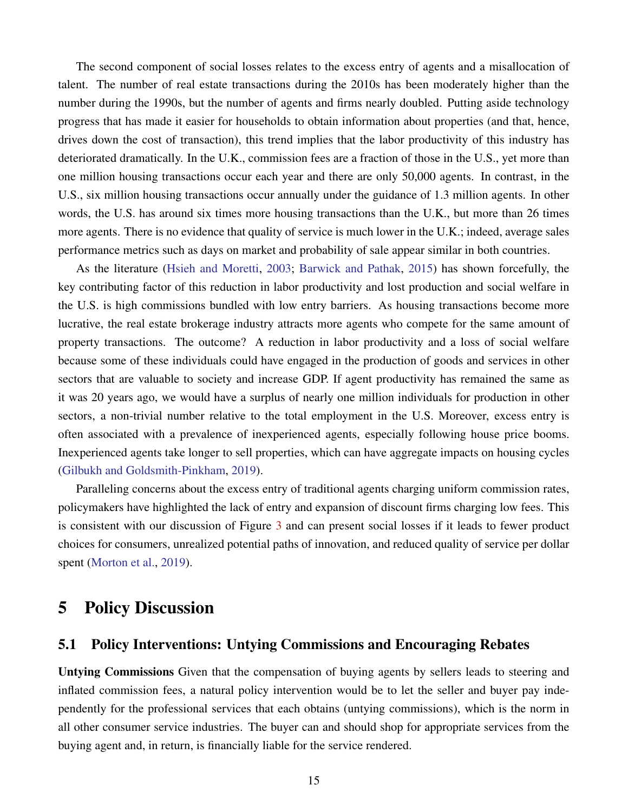The second component of social losses relates to the excess entry of agents and a misallocation of talent. The number of real estate transactions during the 2010s has been moderately higher than the number during the 1990s, but the number of agents and firms nearly doubled. Putting aside technology progress that has made it easier for households to obtain information about properties (and that, hence, drives down the cost of transaction), this trend implies that the labor productivity of this industry has deteriorated dramatically. In the U.K., commission fees are a fraction of those in the U.S., yet more than one million housing transactions occur each year and there are only 50,000 agents. In contrast, in the U.S., six million housing transactions occur annually under the guidance of 1.3 million agents. In other words, the U.S. has around six times more housing transactions than the U.K., but more than 26 times more agents. There is no evidence that quality of service is much lower in the U.K.; indeed, average sales performance metrics such as days on market and probability of sale appear similar in both countries.

As the literature [\(Hsieh and Moretti,](#page-26-17) [2003;](#page-26-17) [Barwick and Pathak,](#page-25-15) [2015\)](#page-25-15) has shown forcefully, the key contributing factor of this reduction in labor productivity and lost production and social welfare in the U.S. is high commissions bundled with low entry barriers. As housing transactions become more lucrative, the real estate brokerage industry attracts more agents who compete for the same amount of property transactions. The outcome? A reduction in labor productivity and a loss of social welfare because some of these individuals could have engaged in the production of goods and services in other sectors that are valuable to society and increase GDP. If agent productivity has remained the same as it was 20 years ago, we would have a surplus of nearly one million individuals for production in other sectors, a non-trivial number relative to the total employment in the U.S. Moreover, excess entry is often associated with a prevalence of inexperienced agents, especially following house price booms. Inexperienced agents take longer to sell properties, which can have aggregate impacts on housing cycles [\(Gilbukh and Goldsmith-Pinkham,](#page-26-1) [2019\)](#page-26-1).

Paralleling concerns about the excess entry of traditional agents charging uniform commission rates, policymakers have highlighted the lack of entry and expansion of discount firms charging low fees. This is consistent with our discussion of Figure [3](#page-30-0) and can present social losses if it leads to fewer product choices for consumers, unrealized potential paths of innovation, and reduced quality of service per dollar spent [\(Morton et al.,](#page-26-18) [2019\)](#page-26-18).

### 5 Policy Discussion

### 5.1 Policy Interventions: Untying Commissions and Encouraging Rebates

Untying Commissions Given that the compensation of buying agents by sellers leads to steering and inflated commission fees, a natural policy intervention would be to let the seller and buyer pay independently for the professional services that each obtains (untying commissions), which is the norm in all other consumer service industries. The buyer can and should shop for appropriate services from the buying agent and, in return, is financially liable for the service rendered.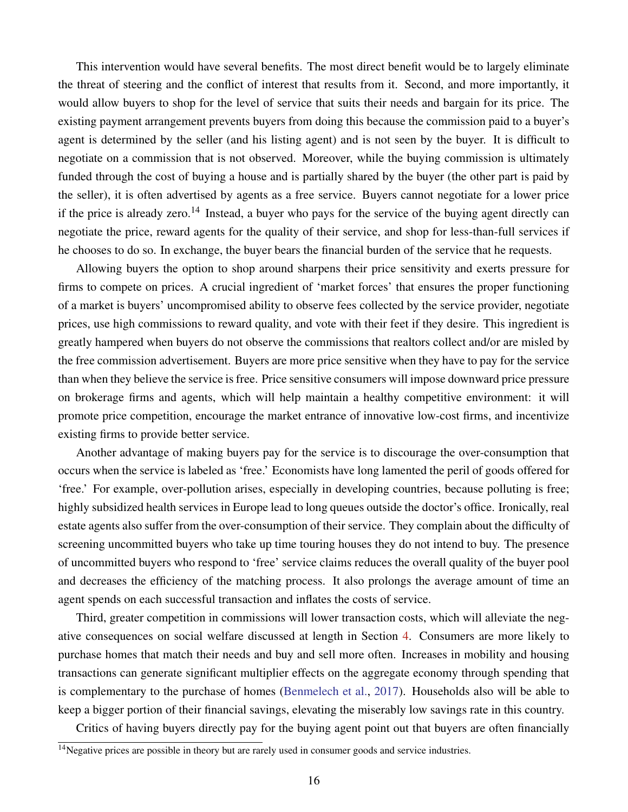This intervention would have several benefits. The most direct benefit would be to largely eliminate the threat of steering and the conflict of interest that results from it. Second, and more importantly, it would allow buyers to shop for the level of service that suits their needs and bargain for its price. The existing payment arrangement prevents buyers from doing this because the commission paid to a buyer's agent is determined by the seller (and his listing agent) and is not seen by the buyer. It is difficult to negotiate on a commission that is not observed. Moreover, while the buying commission is ultimately funded through the cost of buying a house and is partially shared by the buyer (the other part is paid by the seller), it is often advertised by agents as a free service. Buyers cannot negotiate for a lower price if the price is already zero.<sup>14</sup> Instead, a buyer who pays for the service of the buying agent directly can negotiate the price, reward agents for the quality of their service, and shop for less-than-full services if he chooses to do so. In exchange, the buyer bears the financial burden of the service that he requests.

Allowing buyers the option to shop around sharpens their price sensitivity and exerts pressure for firms to compete on prices. A crucial ingredient of 'market forces' that ensures the proper functioning of a market is buyers' uncompromised ability to observe fees collected by the service provider, negotiate prices, use high commissions to reward quality, and vote with their feet if they desire. This ingredient is greatly hampered when buyers do not observe the commissions that realtors collect and/or are misled by the free commission advertisement. Buyers are more price sensitive when they have to pay for the service than when they believe the service is free. Price sensitive consumers will impose downward price pressure on brokerage firms and agents, which will help maintain a healthy competitive environment: it will promote price competition, encourage the market entrance of innovative low-cost firms, and incentivize existing firms to provide better service.

Another advantage of making buyers pay for the service is to discourage the over-consumption that occurs when the service is labeled as 'free.' Economists have long lamented the peril of goods offered for 'free.' For example, over-pollution arises, especially in developing countries, because polluting is free; highly subsidized health services in Europe lead to long queues outside the doctor's office. Ironically, real estate agents also suffer from the over-consumption of their service. They complain about the difficulty of screening uncommitted buyers who take up time touring houses they do not intend to buy. The presence of uncommitted buyers who respond to 'free' service claims reduces the overall quality of the buyer pool and decreases the efficiency of the matching process. It also prolongs the average amount of time an agent spends on each successful transaction and inflates the costs of service.

Third, greater competition in commissions will lower transaction costs, which will alleviate the negative consequences on social welfare discussed at length in Section [4.](#page-14-0) Consumers are more likely to purchase homes that match their needs and buy and sell more often. Increases in mobility and housing transactions can generate significant multiplier effects on the aggregate economy through spending that is complementary to the purchase of homes [\(Benmelech et al.,](#page-25-14) [2017\)](#page-25-14). Households also will be able to keep a bigger portion of their financial savings, elevating the miserably low savings rate in this country.

Critics of having buyers directly pay for the buying agent point out that buyers are often financially

<sup>&</sup>lt;sup>14</sup>Negative prices are possible in theory but are rarely used in consumer goods and service industries.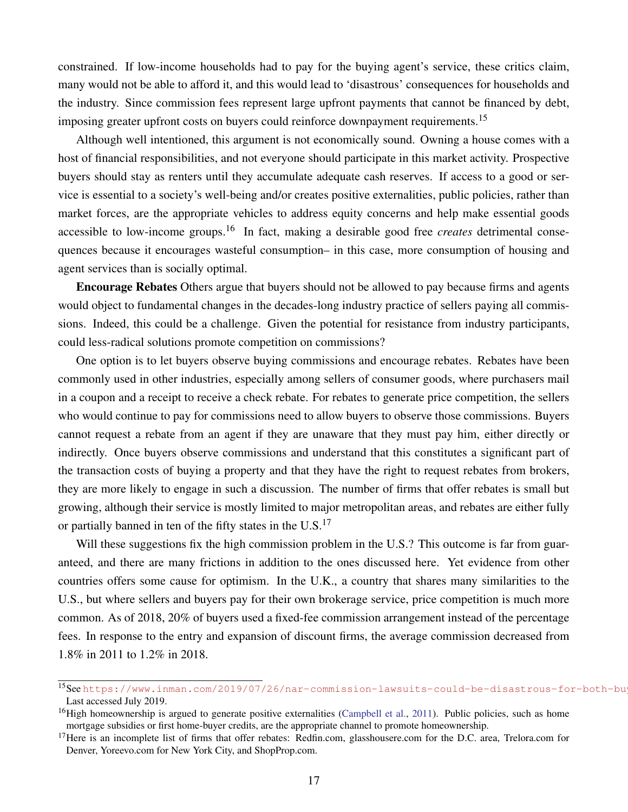constrained. If low-income households had to pay for the buying agent's service, these critics claim, many would not be able to afford it, and this would lead to 'disastrous' consequences for households and the industry. Since commission fees represent large upfront payments that cannot be financed by debt, imposing greater upfront costs on buyers could reinforce downpayment requirements.<sup>15</sup>

Although well intentioned, this argument is not economically sound. Owning a house comes with a host of financial responsibilities, and not everyone should participate in this market activity. Prospective buyers should stay as renters until they accumulate adequate cash reserves. If access to a good or service is essential to a society's well-being and/or creates positive externalities, public policies, rather than market forces, are the appropriate vehicles to address equity concerns and help make essential goods accessible to low-income groups.<sup>16</sup> In fact, making a desirable good free *creates* detrimental consequences because it encourages wasteful consumption– in this case, more consumption of housing and agent services than is socially optimal.

Encourage Rebates Others argue that buyers should not be allowed to pay because firms and agents would object to fundamental changes in the decades-long industry practice of sellers paying all commissions. Indeed, this could be a challenge. Given the potential for resistance from industry participants, could less-radical solutions promote competition on commissions?

One option is to let buyers observe buying commissions and encourage rebates. Rebates have been commonly used in other industries, especially among sellers of consumer goods, where purchasers mail in a coupon and a receipt to receive a check rebate. For rebates to generate price competition, the sellers who would continue to pay for commissions need to allow buyers to observe those commissions. Buyers cannot request a rebate from an agent if they are unaware that they must pay him, either directly or indirectly. Once buyers observe commissions and understand that this constitutes a significant part of the transaction costs of buying a property and that they have the right to request rebates from brokers, they are more likely to engage in such a discussion. The number of firms that offer rebates is small but growing, although their service is mostly limited to major metropolitan areas, and rebates are either fully or partially banned in ten of the fifty states in the  $U.S.<sup>17</sup>$ 

Will these suggestions fix the high commission problem in the U.S.? This outcome is far from guaranteed, and there are many frictions in addition to the ones discussed here. Yet evidence from other countries offers some cause for optimism. In the U.K., a country that shares many similarities to the U.S., but where sellers and buyers pay for their own brokerage service, price competition is much more common. As of 2018, 20% of buyers used a fixed-fee commission arrangement instead of the percentage fees. In response to the entry and expansion of discount firms, the average commission decreased from 1.8% in 2011 to 1.2% in 2018.

<sup>15</sup>Seehttps://www.inman.com/2019/07/26/nar-commission-lawsuits-could-be-disastrous-for-both-bu Last accessed July 2019.

 $16$ High homeownership is argued to generate positive externalities [\(Campbell et al.,](#page-25-6) [2011\)](#page-25-6). Public policies, such as home mortgage subsidies or first home-buyer credits, are the appropriate channel to promote homeownership.

 $17$  Here is an incomplete list of firms that offer rebates: Redfin.com, glasshousere.com for the D.C. area, Trelora.com for Denver, Yoreevo.com for New York City, and ShopProp.com.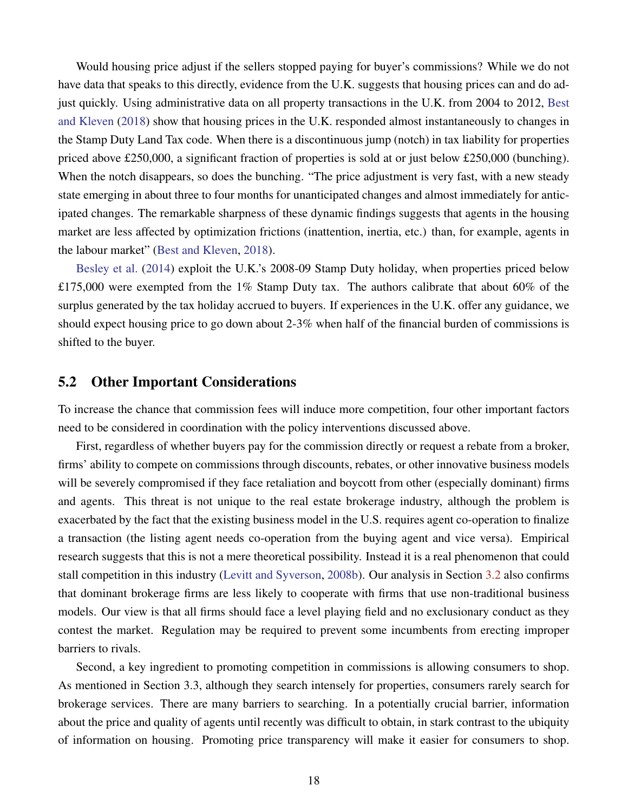Would housing price adjust if the sellers stopped paying for buyer's commissions? While we do not have data that speaks to this directly, evidence from the U.K. suggests that housing prices can and do adjust quickly. Using administrative data on all property transactions in the U.K. from 2004 to 2012, [Best](#page-25-10) [and Kleven](#page-25-10) [\(2018\)](#page-25-10) show that housing prices in the U.K. responded almost instantaneously to changes in the Stamp Duty Land Tax code. When there is a discontinuous jump (notch) in tax liability for properties priced above £250,000, a significant fraction of properties is sold at or just below £250,000 (bunching). When the notch disappears, so does the bunching. "The price adjustment is very fast, with a new steady state emerging in about three to four months for unanticipated changes and almost immediately for anticipated changes. The remarkable sharpness of these dynamic findings suggests that agents in the housing market are less affected by optimization frictions (inattention, inertia, etc.) than, for example, agents in the labour market" [\(Best and Kleven,](#page-25-10) [2018\)](#page-25-10).

[Besley et al.](#page-25-16) [\(2014\)](#page-25-16) exploit the U.K.'s 2008-09 Stamp Duty holiday, when properties priced below £175,000 were exempted from the 1% Stamp Duty tax. The authors calibrate that about 60% of the surplus generated by the tax holiday accrued to buyers. If experiences in the U.K. offer any guidance, we should expect housing price to go down about 2-3% when half of the financial burden of commissions is shifted to the buyer.

#### 5.2 Other Important Considerations

To increase the chance that commission fees will induce more competition, four other important factors need to be considered in coordination with the policy interventions discussed above.

First, regardless of whether buyers pay for the commission directly or request a rebate from a broker, firms' ability to compete on commissions through discounts, rebates, or other innovative business models will be severely compromised if they face retaliation and boycott from other (especially dominant) firms and agents. This threat is not unique to the real estate brokerage industry, although the problem is exacerbated by the fact that the existing business model in the U.S. requires agent co-operation to finalize a transaction (the listing agent needs co-operation from the buying agent and vice versa). Empirical research suggests that this is not a mere theoretical possibility. Instead it is a real phenomenon that could stall competition in this industry [\(Levitt and Syverson,](#page-26-0) [2008b\)](#page-26-0). Our analysis in Section [3.2](#page-9-0) also confirms that dominant brokerage firms are less likely to cooperate with firms that use non-traditional business models. Our view is that all firms should face a level playing field and no exclusionary conduct as they contest the market. Regulation may be required to prevent some incumbents from erecting improper barriers to rivals.

Second, a key ingredient to promoting competition in commissions is allowing consumers to shop. As mentioned in Section 3.3, although they search intensely for properties, consumers rarely search for brokerage services. There are many barriers to searching. In a potentially crucial barrier, information about the price and quality of agents until recently was difficult to obtain, in stark contrast to the ubiquity of information on housing. Promoting price transparency will make it easier for consumers to shop.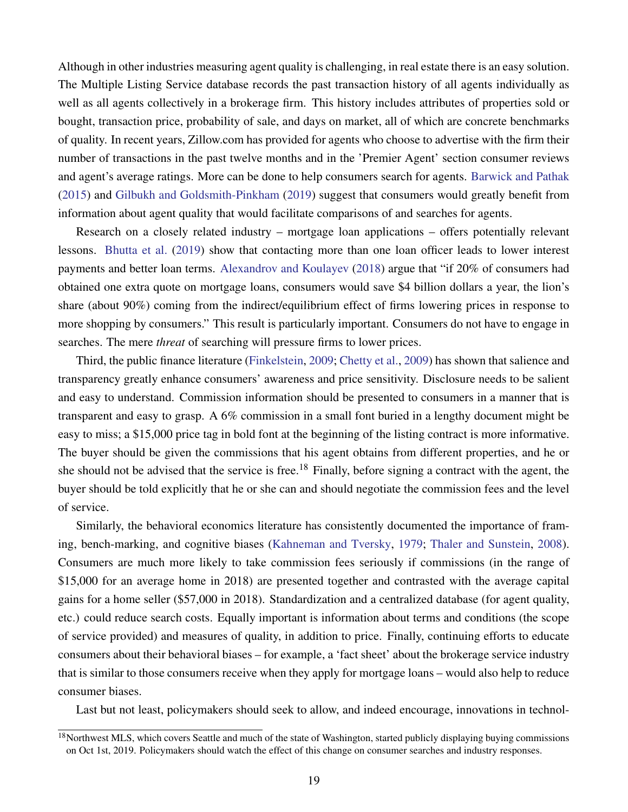Although in other industries measuring agent quality is challenging, in real estate there is an easy solution. The Multiple Listing Service database records the past transaction history of all agents individually as well as all agents collectively in a brokerage firm. This history includes attributes of properties sold or bought, transaction price, probability of sale, and days on market, all of which are concrete benchmarks of quality. In recent years, Zillow.com has provided for agents who choose to advertise with the firm their number of transactions in the past twelve months and in the 'Premier Agent' section consumer reviews and agent's average ratings. More can be done to help consumers search for agents. [Barwick and Pathak](#page-25-15) [\(2015\)](#page-25-15) and [Gilbukh and Goldsmith-Pinkham](#page-26-1) [\(2019\)](#page-26-1) suggest that consumers would greatly benefit from information about agent quality that would facilitate comparisons of and searches for agents.

Research on a closely related industry – mortgage loan applications – offers potentially relevant lessons. [Bhutta et al.](#page-25-17) [\(2019\)](#page-25-17) show that contacting more than one loan officer leads to lower interest payments and better loan terms. [Alexandrov and Koulayev](#page-25-18) [\(2018\)](#page-25-18) argue that "if 20% of consumers had obtained one extra quote on mortgage loans, consumers would save \$4 billion dollars a year, the lion's share (about 90%) coming from the indirect/equilibrium effect of firms lowering prices in response to more shopping by consumers." This result is particularly important. Consumers do not have to engage in searches. The mere *threat* of searching will pressure firms to lower prices.

Third, the public finance literature [\(Finkelstein,](#page-25-19) [2009;](#page-25-19) [Chetty et al.,](#page-25-8) [2009\)](#page-25-8) has shown that salience and transparency greatly enhance consumers' awareness and price sensitivity. Disclosure needs to be salient and easy to understand. Commission information should be presented to consumers in a manner that is transparent and easy to grasp. A 6% commission in a small font buried in a lengthy document might be easy to miss; a \$15,000 price tag in bold font at the beginning of the listing contract is more informative. The buyer should be given the commissions that his agent obtains from different properties, and he or she should not be advised that the service is free.<sup>18</sup> Finally, before signing a contract with the agent, the buyer should be told explicitly that he or she can and should negotiate the commission fees and the level of service.

Similarly, the behavioral economics literature has consistently documented the importance of framing, bench-marking, and cognitive biases [\(Kahneman and Tversky,](#page-26-19) [1979;](#page-26-19) [Thaler and Sunstein,](#page-27-2) [2008\)](#page-27-2). Consumers are much more likely to take commission fees seriously if commissions (in the range of \$15,000 for an average home in 2018) are presented together and contrasted with the average capital gains for a home seller (\$57,000 in 2018). Standardization and a centralized database (for agent quality, etc.) could reduce search costs. Equally important is information about terms and conditions (the scope of service provided) and measures of quality, in addition to price. Finally, continuing efforts to educate consumers about their behavioral biases – for example, a 'fact sheet' about the brokerage service industry that is similar to those consumers receive when they apply for mortgage loans – would also help to reduce consumer biases.

Last but not least, policymakers should seek to allow, and indeed encourage, innovations in technol-

<sup>&</sup>lt;sup>18</sup>Northwest MLS, which covers Seattle and much of the state of Washington, started publicly displaying buying commissions on Oct 1st, 2019. Policymakers should watch the effect of this change on consumer searches and industry responses.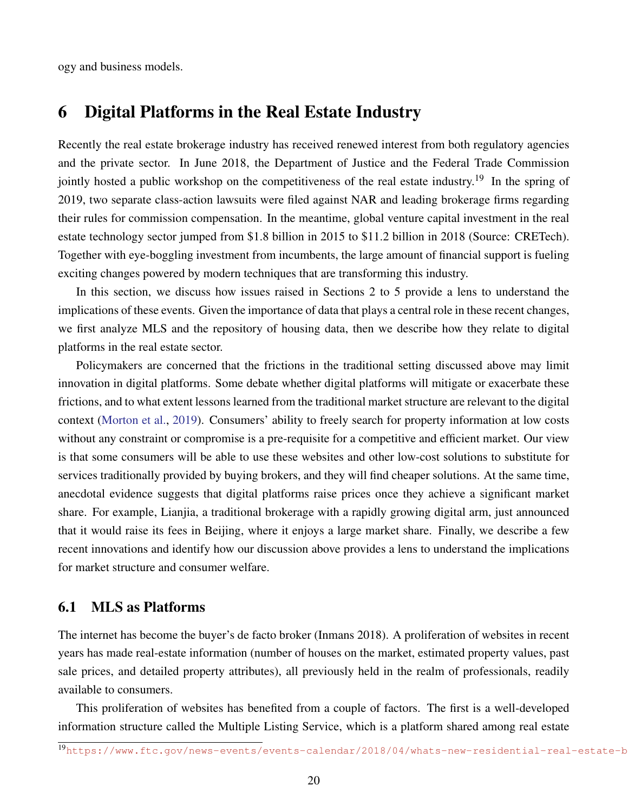ogy and business models.

### 6 Digital Platforms in the Real Estate Industry

Recently the real estate brokerage industry has received renewed interest from both regulatory agencies and the private sector. In June 2018, the Department of Justice and the Federal Trade Commission jointly hosted a public workshop on the competitiveness of the real estate industry.<sup>19</sup> In the spring of 2019, two separate class-action lawsuits were filed against NAR and leading brokerage firms regarding their rules for commission compensation. In the meantime, global venture capital investment in the real estate technology sector jumped from \$1.8 billion in 2015 to \$11.2 billion in 2018 (Source: CRETech). Together with eye-boggling investment from incumbents, the large amount of financial support is fueling exciting changes powered by modern techniques that are transforming this industry.

In this section, we discuss how issues raised in Sections 2 to 5 provide a lens to understand the implications of these events. Given the importance of data that plays a central role in these recent changes, we first analyze MLS and the repository of housing data, then we describe how they relate to digital platforms in the real estate sector.

Policymakers are concerned that the frictions in the traditional setting discussed above may limit innovation in digital platforms. Some debate whether digital platforms will mitigate or exacerbate these frictions, and to what extent lessons learned from the traditional market structure are relevant to the digital context [\(Morton et al.,](#page-26-18) [2019\)](#page-26-18). Consumers' ability to freely search for property information at low costs without any constraint or compromise is a pre-requisite for a competitive and efficient market. Our view is that some consumers will be able to use these websites and other low-cost solutions to substitute for services traditionally provided by buying brokers, and they will find cheaper solutions. At the same time, anecdotal evidence suggests that digital platforms raise prices once they achieve a significant market share. For example, Lianjia, a traditional brokerage with a rapidly growing digital arm, just announced that it would raise its fees in Beijing, where it enjoys a large market share. Finally, we describe a few recent innovations and identify how our discussion above provides a lens to understand the implications for market structure and consumer welfare.

#### 6.1 MLS as Platforms

The internet has become the buyer's de facto broker (Inmans 2018). A proliferation of websites in recent years has made real-estate information (number of houses on the market, estimated property values, past sale prices, and detailed property attributes), all previously held in the realm of professionals, readily available to consumers.

This proliferation of websites has benefited from a couple of factors. The first is a well-developed information structure called the Multiple Listing Service, which is a platform shared among real estate

<sup>19</sup>https://www.ftc.gov/news-events/events-calendar/2018/04/whats-new-residential-real-estate-b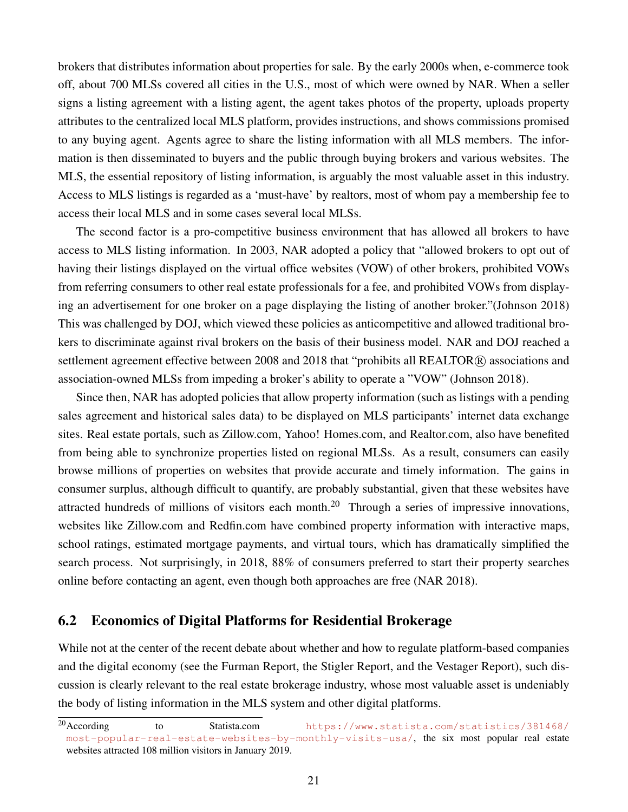brokers that distributes information about properties for sale. By the early 2000s when, e-commerce took off, about 700 MLSs covered all cities in the U.S., most of which were owned by NAR. When a seller signs a listing agreement with a listing agent, the agent takes photos of the property, uploads property attributes to the centralized local MLS platform, provides instructions, and shows commissions promised to any buying agent. Agents agree to share the listing information with all MLS members. The information is then disseminated to buyers and the public through buying brokers and various websites. The MLS, the essential repository of listing information, is arguably the most valuable asset in this industry. Access to MLS listings is regarded as a 'must-have' by realtors, most of whom pay a membership fee to access their local MLS and in some cases several local MLSs.

The second factor is a pro-competitive business environment that has allowed all brokers to have access to MLS listing information. In 2003, NAR adopted a policy that "allowed brokers to opt out of having their listings displayed on the virtual office websites (VOW) of other brokers, prohibited VOWs from referring consumers to other real estate professionals for a fee, and prohibited VOWs from displaying an advertisement for one broker on a page displaying the listing of another broker."(Johnson 2018) This was challenged by DOJ, which viewed these policies as anticompetitive and allowed traditional brokers to discriminate against rival brokers on the basis of their business model. NAR and DOJ reached a settlement agreement effective between 2008 and 2018 that "prohibits all REALTOR® associations and association-owned MLSs from impeding a broker's ability to operate a "VOW" (Johnson 2018).

Since then, NAR has adopted policies that allow property information (such as listings with a pending sales agreement and historical sales data) to be displayed on MLS participants' internet data exchange sites. Real estate portals, such as Zillow.com, Yahoo! Homes.com, and Realtor.com, also have benefited from being able to synchronize properties listed on regional MLSs. As a result, consumers can easily browse millions of properties on websites that provide accurate and timely information. The gains in consumer surplus, although difficult to quantify, are probably substantial, given that these websites have attracted hundreds of millions of visitors each month.<sup>20</sup> Through a series of impressive innovations, websites like Zillow.com and Redfin.com have combined property information with interactive maps, school ratings, estimated mortgage payments, and virtual tours, which has dramatically simplified the search process. Not surprisingly, in 2018, 88% of consumers preferred to start their property searches online before contacting an agent, even though both approaches are free (NAR 2018).

#### 6.2 Economics of Digital Platforms for Residential Brokerage

While not at the center of the recent debate about whether and how to regulate platform-based companies and the digital economy (see the Furman Report, the Stigler Report, and the Vestager Report), such discussion is clearly relevant to the real estate brokerage industry, whose most valuable asset is undeniably the body of listing information in the MLS system and other digital platforms.

<sup>20</sup> According to Statista.com [https://www.statista.com/statistics/381468/](https://www.statista.com/statistics/381468/most-popular-real-estate-websites-by-monthly-visits-usa/) [most-popular-real-estate-websites-by-monthly-visits-usa/](https://www.statista.com/statistics/381468/most-popular-real-estate-websites-by-monthly-visits-usa/), the six most popular real estate websites attracted 108 million visitors in January 2019.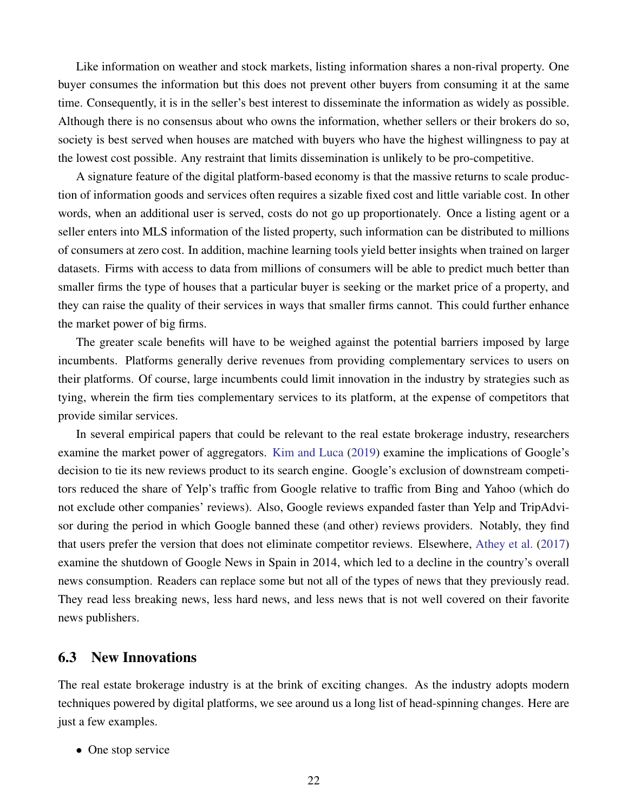Like information on weather and stock markets, listing information shares a non-rival property. One buyer consumes the information but this does not prevent other buyers from consuming it at the same time. Consequently, it is in the seller's best interest to disseminate the information as widely as possible. Although there is no consensus about who owns the information, whether sellers or their brokers do so, society is best served when houses are matched with buyers who have the highest willingness to pay at the lowest cost possible. Any restraint that limits dissemination is unlikely to be pro-competitive.

A signature feature of the digital platform-based economy is that the massive returns to scale production of information goods and services often requires a sizable fixed cost and little variable cost. In other words, when an additional user is served, costs do not go up proportionately. Once a listing agent or a seller enters into MLS information of the listed property, such information can be distributed to millions of consumers at zero cost. In addition, machine learning tools yield better insights when trained on larger datasets. Firms with access to data from millions of consumers will be able to predict much better than smaller firms the type of houses that a particular buyer is seeking or the market price of a property, and they can raise the quality of their services in ways that smaller firms cannot. This could further enhance the market power of big firms.

The greater scale benefits will have to be weighed against the potential barriers imposed by large incumbents. Platforms generally derive revenues from providing complementary services to users on their platforms. Of course, large incumbents could limit innovation in the industry by strategies such as tying, wherein the firm ties complementary services to its platform, at the expense of competitors that provide similar services.

In several empirical papers that could be relevant to the real estate brokerage industry, researchers examine the market power of aggregators. [Kim and Luca](#page-26-20) [\(2019\)](#page-26-20) examine the implications of Google's decision to tie its new reviews product to its search engine. Google's exclusion of downstream competitors reduced the share of Yelp's traffic from Google relative to traffic from Bing and Yahoo (which do not exclude other companies' reviews). Also, Google reviews expanded faster than Yelp and TripAdvisor during the period in which Google banned these (and other) reviews providers. Notably, they find that users prefer the version that does not eliminate competitor reviews. Elsewhere, [Athey et al.](#page-25-20) [\(2017\)](#page-25-20) examine the shutdown of Google News in Spain in 2014, which led to a decline in the country's overall news consumption. Readers can replace some but not all of the types of news that they previously read. They read less breaking news, less hard news, and less news that is not well covered on their favorite news publishers.

#### 6.3 New Innovations

The real estate brokerage industry is at the brink of exciting changes. As the industry adopts modern techniques powered by digital platforms, we see around us a long list of head-spinning changes. Here are just a few examples.

• One stop service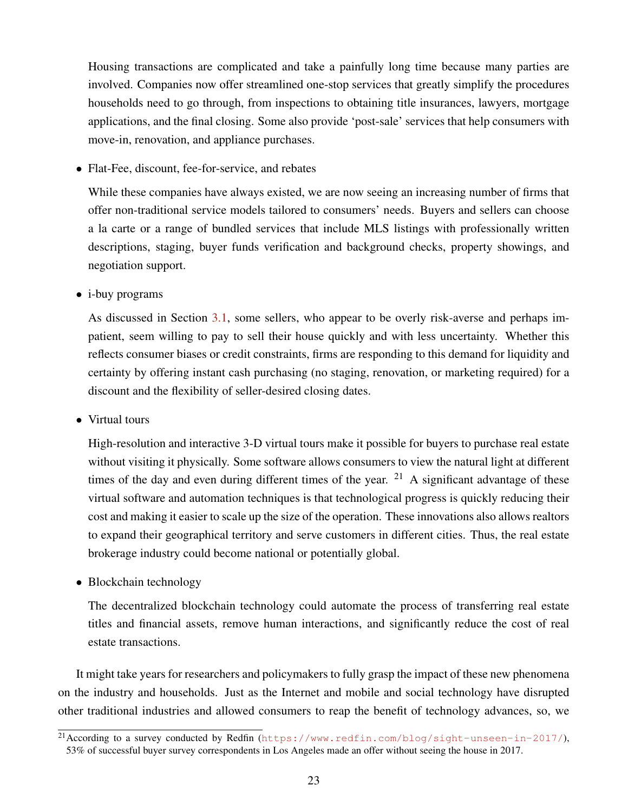Housing transactions are complicated and take a painfully long time because many parties are involved. Companies now offer streamlined one-stop services that greatly simplify the procedures households need to go through, from inspections to obtaining title insurances, lawyers, mortgage applications, and the final closing. Some also provide 'post-sale' services that help consumers with move-in, renovation, and appliance purchases.

• Flat-Fee, discount, fee-for-service, and rebates

While these companies have always existed, we are now seeing an increasing number of firms that offer non-traditional service models tailored to consumers' needs. Buyers and sellers can choose a la carte or a range of bundled services that include MLS listings with professionally written descriptions, staging, buyer funds verification and background checks, property showings, and negotiation support.

• *i*-buy programs

As discussed in Section [3.1,](#page-7-0) some sellers, who appear to be overly risk-averse and perhaps impatient, seem willing to pay to sell their house quickly and with less uncertainty. Whether this reflects consumer biases or credit constraints, firms are responding to this demand for liquidity and certainty by offering instant cash purchasing (no staging, renovation, or marketing required) for a discount and the flexibility of seller-desired closing dates.

• Virtual tours

High-resolution and interactive 3-D virtual tours make it possible for buyers to purchase real estate without visiting it physically. Some software allows consumers to view the natural light at different times of the day and even during different times of the year. <sup>21</sup> A significant advantage of these virtual software and automation techniques is that technological progress is quickly reducing their cost and making it easier to scale up the size of the operation. These innovations also allows realtors to expand their geographical territory and serve customers in different cities. Thus, the real estate brokerage industry could become national or potentially global.

• Blockchain technology

The decentralized blockchain technology could automate the process of transferring real estate titles and financial assets, remove human interactions, and significantly reduce the cost of real estate transactions.

It might take years for researchers and policymakers to fully grasp the impact of these new phenomena on the industry and households. Just as the Internet and mobile and social technology have disrupted other traditional industries and allowed consumers to reap the benefit of technology advances, so, we

<sup>&</sup>lt;sup>21</sup> According to a survey conducted by Redfin (<https://www.redfin.com/blog/sight-unseen-in-2017/>), 53% of successful buyer survey correspondents in Los Angeles made an offer without seeing the house in 2017.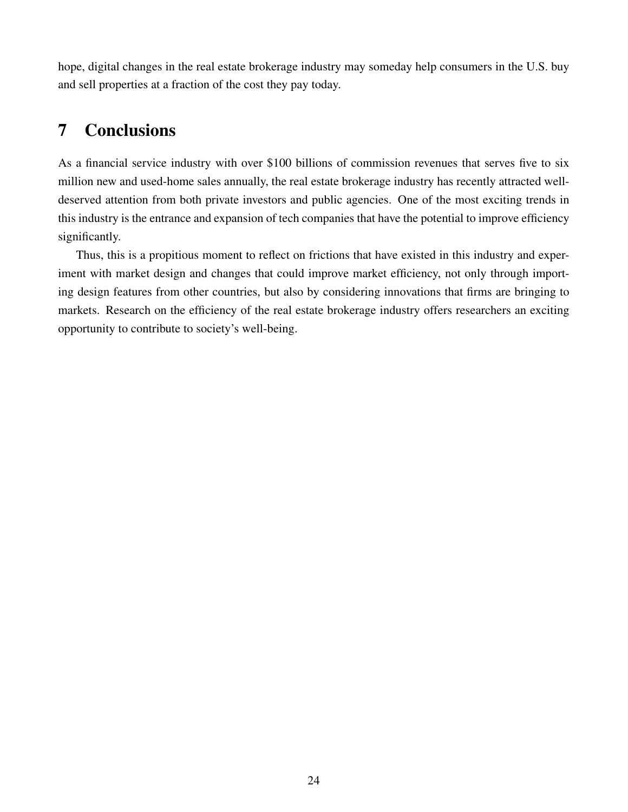hope, digital changes in the real estate brokerage industry may someday help consumers in the U.S. buy and sell properties at a fraction of the cost they pay today.

### 7 Conclusions

As a financial service industry with over \$100 billions of commission revenues that serves five to six million new and used-home sales annually, the real estate brokerage industry has recently attracted welldeserved attention from both private investors and public agencies. One of the most exciting trends in this industry is the entrance and expansion of tech companies that have the potential to improve efficiency significantly.

Thus, this is a propitious moment to reflect on frictions that have existed in this industry and experiment with market design and changes that could improve market efficiency, not only through importing design features from other countries, but also by considering innovations that firms are bringing to markets. Research on the efficiency of the real estate brokerage industry offers researchers an exciting opportunity to contribute to society's well-being.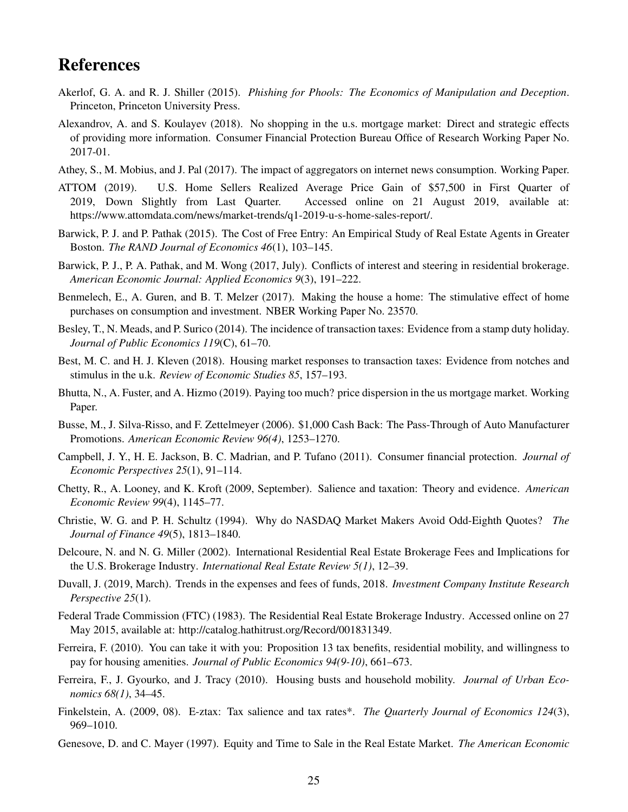### References

- <span id="page-25-7"></span>Akerlof, G. A. and R. J. Shiller (2015). *Phishing for Phools: The Economics of Manipulation and Deception*. Princeton, Princeton University Press.
- <span id="page-25-18"></span>Alexandrov, A. and S. Koulayev (2018). No shopping in the u.s. mortgage market: Direct and strategic effects of providing more information. Consumer Financial Protection Bureau Office of Research Working Paper No. 2017-01.
- <span id="page-25-20"></span>Athey, S., M. Mobius, and J. Pal (2017). The impact of aggregators on internet news consumption. Working Paper.
- <span id="page-25-11"></span>ATTOM (2019). U.S. Home Sellers Realized Average Price Gain of \$57,500 in First Quarter of 2019, Down Slightly from Last Quarter. Accessed online on 21 August 2019, available at: https://www.attomdata.com/news/market-trends/q1-2019-u-s-home-sales-report/.
- <span id="page-25-15"></span>Barwick, P. J. and P. Pathak (2015). The Cost of Free Entry: An Empirical Study of Real Estate Agents in Greater Boston. *The RAND Journal of Economics 46*(1), 103–145.
- <span id="page-25-0"></span>Barwick, P. J., P. A. Pathak, and M. Wong (2017, July). Conflicts of interest and steering in residential brokerage. *American Economic Journal: Applied Economics 9*(3), 191–222.
- <span id="page-25-14"></span>Benmelech, E., A. Guren, and B. T. Melzer (2017). Making the house a home: The stimulative effect of home purchases on consumption and investment. NBER Working Paper No. 23570.
- <span id="page-25-16"></span>Besley, T., N. Meads, and P. Surico (2014). The incidence of transaction taxes: Evidence from a stamp duty holiday. *Journal of Public Economics 119*(C), 61–70.
- <span id="page-25-10"></span>Best, M. C. and H. J. Kleven (2018). Housing market responses to transaction taxes: Evidence from notches and stimulus in the u.k. *Review of Economic Studies 85*, 157–193.
- <span id="page-25-17"></span>Bhutta, N., A. Fuster, and A. Hizmo (2019). Paying too much? price dispersion in the us mortgage market. Working Paper.
- <span id="page-25-9"></span>Busse, M., J. Silva-Risso, and F. Zettelmeyer (2006). \$1,000 Cash Back: The Pass-Through of Auto Manufacturer Promotions. *American Economic Review 96(4)*, 1253–1270.
- <span id="page-25-6"></span>Campbell, J. Y., H. E. Jackson, B. C. Madrian, and P. Tufano (2011). Consumer financial protection. *Journal of Economic Perspectives 25*(1), 91–114.
- <span id="page-25-8"></span>Chetty, R., A. Looney, and K. Kroft (2009, September). Salience and taxation: Theory and evidence. *American Economic Review 99*(4), 1145–77.
- <span id="page-25-2"></span>Christie, W. G. and P. H. Schultz (1994). Why do NASDAQ Market Makers Avoid Odd-Eighth Quotes? *The Journal of Finance 49*(5), 1813–1840.
- <span id="page-25-1"></span>Delcoure, N. and N. G. Miller (2002). International Residential Real Estate Brokerage Fees and Implications for the U.S. Brokerage Industry. *International Real Estate Review 5(1)*, 12–39.
- <span id="page-25-3"></span>Duvall, J. (2019, March). Trends in the expenses and fees of funds, 2018. *Investment Company Institute Research Perspective 25*(1).
- <span id="page-25-4"></span>Federal Trade Commission (FTC) (1983). The Residential Real Estate Brokerage Industry. Accessed online on 27 May 2015, available at: http://catalog.hathitrust.org/Record/001831349.
- <span id="page-25-13"></span>Ferreira, F. (2010). You can take it with you: Proposition 13 tax benefits, residential mobility, and willingness to pay for housing amenities. *Journal of Public Economics 94(9-10)*, 661–673.
- <span id="page-25-12"></span>Ferreira, F., J. Gyourko, and J. Tracy (2010). Housing busts and household mobility. *Journal of Urban Economics 68(1)*, 34–45.
- <span id="page-25-19"></span>Finkelstein, A. (2009, 08). E-ztax: Tax salience and tax rates\*. *The Quarterly Journal of Economics 124*(3), 969–1010.
- <span id="page-25-5"></span>Genesove, D. and C. Mayer (1997). Equity and Time to Sale in the Real Estate Market. *The American Economic*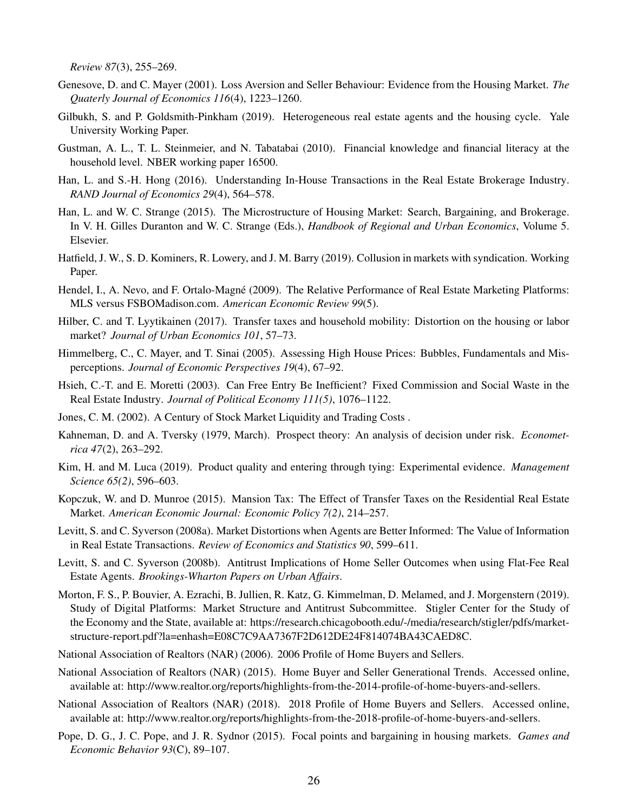*Review 87*(3), 255–269.

- <span id="page-26-12"></span>Genesove, D. and C. Mayer (2001). Loss Aversion and Seller Behaviour: Evidence from the Housing Market. *The Quaterly Journal of Economics 116*(4), 1223–1260.
- <span id="page-26-1"></span>Gilbukh, S. and P. Goldsmith-Pinkham (2019). Heterogeneous real estate agents and the housing cycle. Yale University Working Paper.
- <span id="page-26-14"></span>Gustman, A. L., T. L. Steinmeier, and N. Tabatabai (2010). Financial knowledge and financial literacy at the household level. NBER working paper 16500.
- <span id="page-26-10"></span>Han, L. and S.-H. Hong (2016). Understanding In-House Transactions in the Real Estate Brokerage Industry. *RAND Journal of Economics 29*(4), 564–578.
- <span id="page-26-9"></span>Han, L. and W. C. Strange (2015). The Microstructure of Housing Market: Search, Bargaining, and Brokerage. In V. H. Gilles Duranton and W. C. Strange (Eds.), *Handbook of Regional and Urban Economics*, Volume 5. Elsevier.
- <span id="page-26-5"></span>Hatfield, J. W., S. D. Kominers, R. Lowery, and J. M. Barry (2019). Collusion in markets with syndication. Working Paper.
- <span id="page-26-8"></span>Hendel, I., A. Nevo, and F. Ortalo-Magné (2009). The Relative Performance of Real Estate Marketing Platforms: MLS versus FSBOMadison.com. *American Economic Review 99*(5).
- <span id="page-26-15"></span>Hilber, C. and T. Lyytikainen (2017). Transfer taxes and household mobility: Distortion on the housing or labor market? *Journal of Urban Economics 101*, 57–73.
- <span id="page-26-7"></span>Himmelberg, C., C. Mayer, and T. Sinai (2005). Assessing High House Prices: Bubbles, Fundamentals and Misperceptions. *Journal of Economic Perspectives 19*(4), 67–92.
- <span id="page-26-17"></span>Hsieh, C.-T. and E. Moretti (2003). Can Free Entry Be Inefficient? Fixed Commission and Social Waste in the Real Estate Industry. *Journal of Political Economy 111(5)*, 1076–1122.
- <span id="page-26-6"></span>Jones, C. M. (2002). A Century of Stock Market Liquidity and Trading Costs .
- <span id="page-26-19"></span>Kahneman, D. and A. Tversky (1979, March). Prospect theory: An analysis of decision under risk. *Econometrica 47*(2), 263–292.
- <span id="page-26-20"></span>Kim, H. and M. Luca (2019). Product quality and entering through tying: Experimental evidence. *Management Science 65(2)*, 596–603.
- <span id="page-26-16"></span>Kopczuk, W. and D. Munroe (2015). Mansion Tax: The Effect of Transfer Taxes on the Residential Real Estate Market. *American Economic Journal: Economic Policy 7(2)*, 214–257.
- <span id="page-26-11"></span>Levitt, S. and C. Syverson (2008a). Market Distortions when Agents are Better Informed: The Value of Information in Real Estate Transactions. *Review of Economics and Statistics 90*, 599–611.
- <span id="page-26-0"></span>Levitt, S. and C. Syverson (2008b). Antitrust Implications of Home Seller Outcomes when using Flat-Fee Real Estate Agents. *Brookings-Wharton Papers on Urban Affairs*.
- <span id="page-26-18"></span>Morton, F. S., P. Bouvier, A. Ezrachi, B. Jullien, R. Katz, G. Kimmelman, D. Melamed, and J. Morgenstern (2019). Study of Digital Platforms: Market Structure and Antitrust Subcommittee. Stigler Center for the Study of the Economy and the State, available at: https://research.chicagobooth.edu/-/media/research/stigler/pdfs/marketstructure-report.pdf?la=enhash=E08C7C9AA7367F2D612DE24F814074BA43CAED8C.
- <span id="page-26-3"></span>National Association of Realtors (NAR) (2006). 2006 Profile of Home Buyers and Sellers.
- <span id="page-26-4"></span>National Association of Realtors (NAR) (2015). Home Buyer and Seller Generational Trends. Accessed online, available at: http://www.realtor.org/reports/highlights-from-the-2014-profile-of-home-buyers-and-sellers.
- <span id="page-26-2"></span>National Association of Realtors (NAR) (2018). 2018 Profile of Home Buyers and Sellers. Accessed online, available at: http://www.realtor.org/reports/highlights-from-the-2018-profile-of-home-buyers-and-sellers.
- <span id="page-26-13"></span>Pope, D. G., J. C. Pope, and J. R. Sydnor (2015). Focal points and bargaining in housing markets. *Games and Economic Behavior 93*(C), 89–107.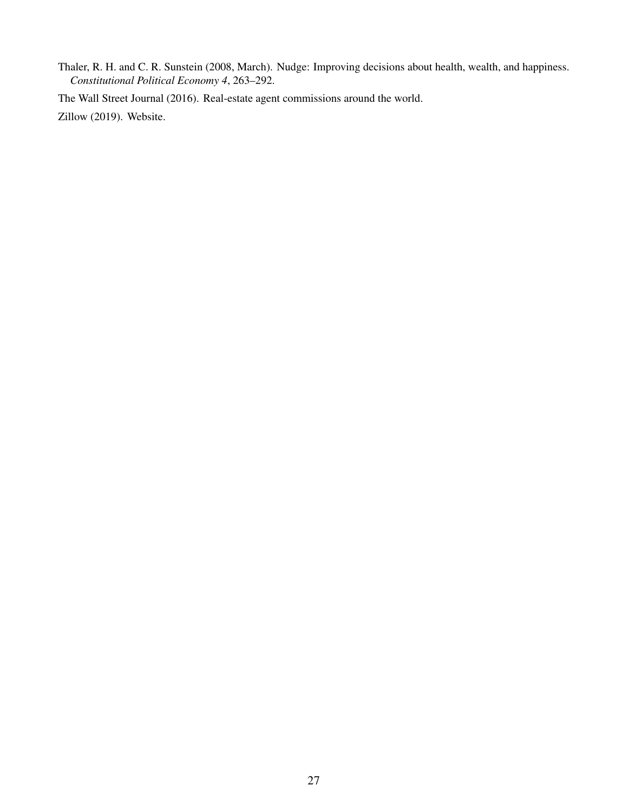<span id="page-27-2"></span>Thaler, R. H. and C. R. Sunstein (2008, March). Nudge: Improving decisions about health, wealth, and happiness. *Constitutional Political Economy 4*, 263–292.

<span id="page-27-0"></span>The Wall Street Journal (2016). Real-estate agent commissions around the world.

<span id="page-27-1"></span>Zillow (2019). Website.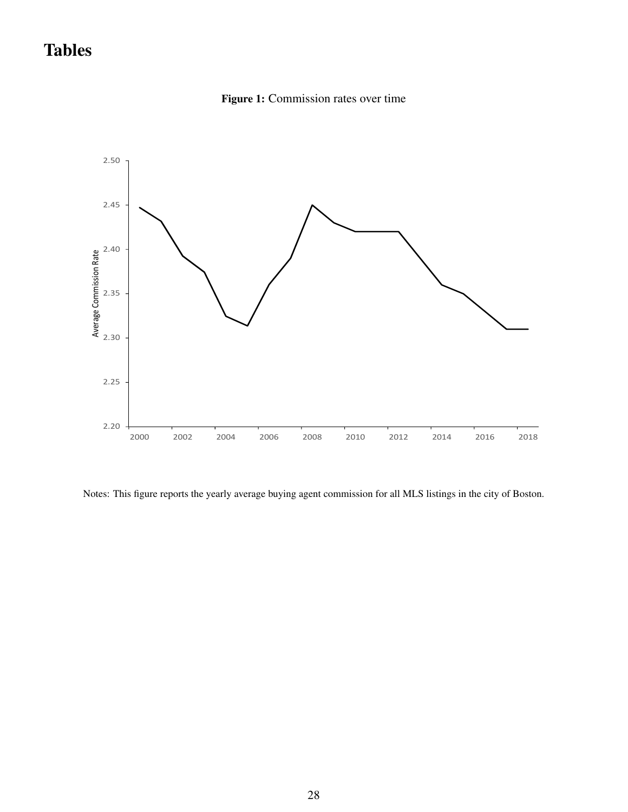# <span id="page-28-0"></span>Tables



Figure 1: Commission rates over time

Notes: This figure reports the yearly average buying agent commission for all MLS listings in the city of Boston.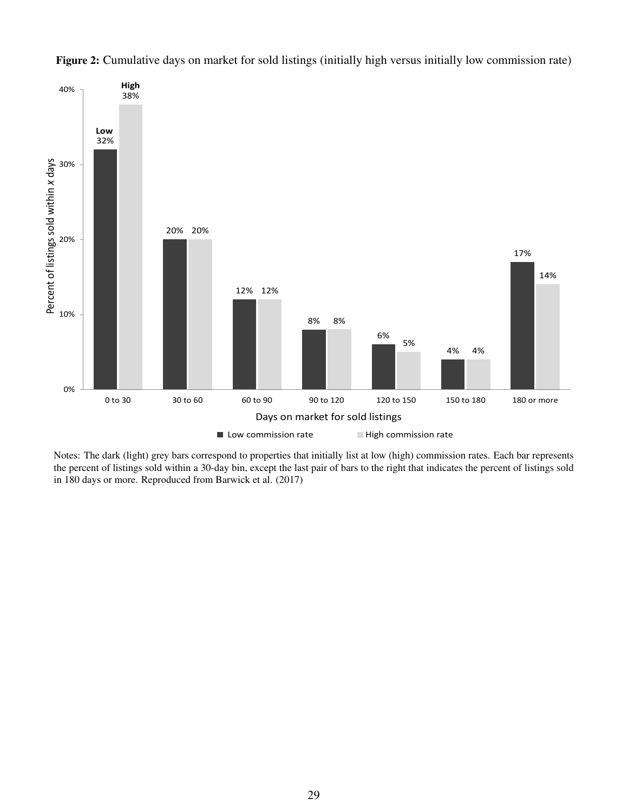

<span id="page-29-0"></span>Figure 2: Cumulative days on market for sold listings (initially high versus initially low commission rate)

Notes: The dark (light) grey bars correspond to properties that initially list at low (high) commission rates. Each bar represents the percent of listings sold within a 30-day bin, except the last pair of bars to the right that indicates the percent of listings sold in 180 days or more. Reproduced from Barwick et al. (2017)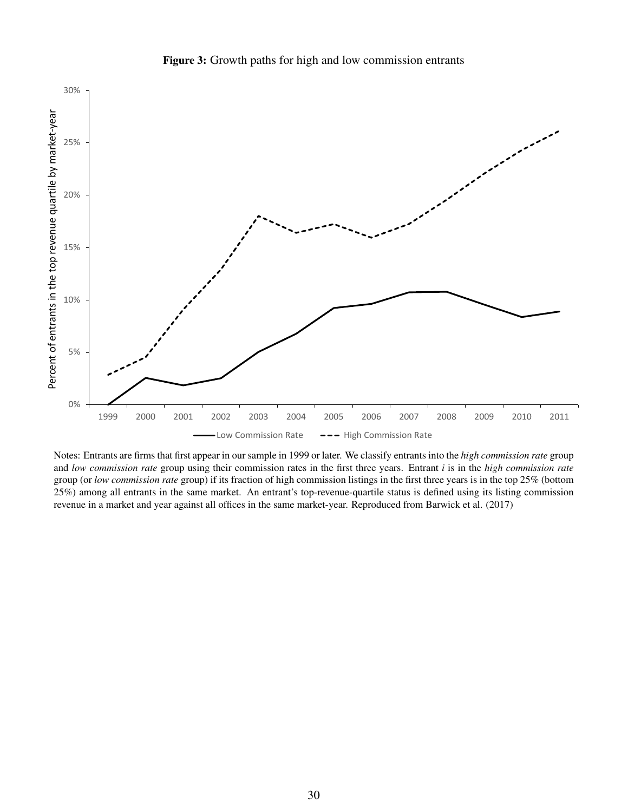<span id="page-30-0"></span>

**Figure 3:** Growth paths for high and low commission entrants

Notes: Entrants are firms that first appear in our sample in 1999 or later. We classify entrants into the *high commission rate* group and *low commission rate* group using their commission rates in the first three years. Entrant *i* is in the *high commission rate* group (or *low commission rate* group) if its fraction of high commission listings in the first three years is in the top 25% (bottom 25%) among all entrants in the same market. An entrant's top-revenue-quartile status is defined using its listing commission revenue in a market and year against all offices in the same market-year. Reproduced from Barwick et al. (2017)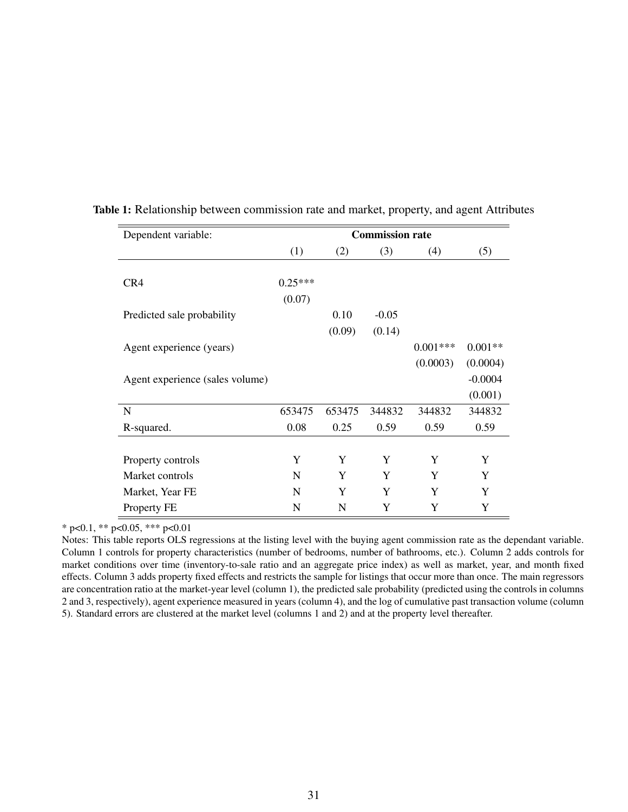| Dependent variable:             | <b>Commission rate</b> |        |         |            |           |
|---------------------------------|------------------------|--------|---------|------------|-----------|
|                                 | (1)                    | (2)    | (3)     | (4)        | (5)       |
|                                 |                        |        |         |            |           |
| CR4                             | $0.25***$              |        |         |            |           |
|                                 | (0.07)                 |        |         |            |           |
| Predicted sale probability      |                        | 0.10   | $-0.05$ |            |           |
|                                 |                        | (0.09) | (0.14)  |            |           |
| Agent experience (years)        |                        |        |         | $0.001***$ | $0.001**$ |
|                                 |                        |        |         | (0.0003)   | (0.0004)  |
| Agent experience (sales volume) |                        |        |         |            | $-0.0004$ |
|                                 |                        |        |         |            | (0.001)   |
| N                               | 653475                 | 653475 | 344832  | 344832     | 344832    |
| R-squared.                      | 0.08                   | 0.25   | 0.59    | 0.59       | 0.59      |
|                                 |                        |        |         |            |           |
| Property controls               | Y                      | Y      | Y       | Y          | Y         |
| Market controls                 | N                      | Y      | Y       | Y          | Y         |
| Market, Year FE                 | N                      | Y      | Y       | Y          | Y         |
| Property FE                     | N                      | N      | Y       | Y          | Y         |

<span id="page-31-0"></span>Table 1: Relationship between commission rate and market, property, and agent Attributes

Notes: This table reports OLS regressions at the listing level with the buying agent commission rate as the dependant variable. Column 1 controls for property characteristics (number of bedrooms, number of bathrooms, etc.). Column 2 adds controls for market conditions over time (inventory-to-sale ratio and an aggregate price index) as well as market, year, and month fixed effects. Column 3 adds property fixed effects and restricts the sample for listings that occur more than once. The main regressors are concentration ratio at the market-year level (column 1), the predicted sale probability (predicted using the controls in columns 2 and 3, respectively), agent experience measured in years (column 4), and the log of cumulative past transaction volume (column 5). Standard errors are clustered at the market level (columns 1 and 2) and at the property level thereafter.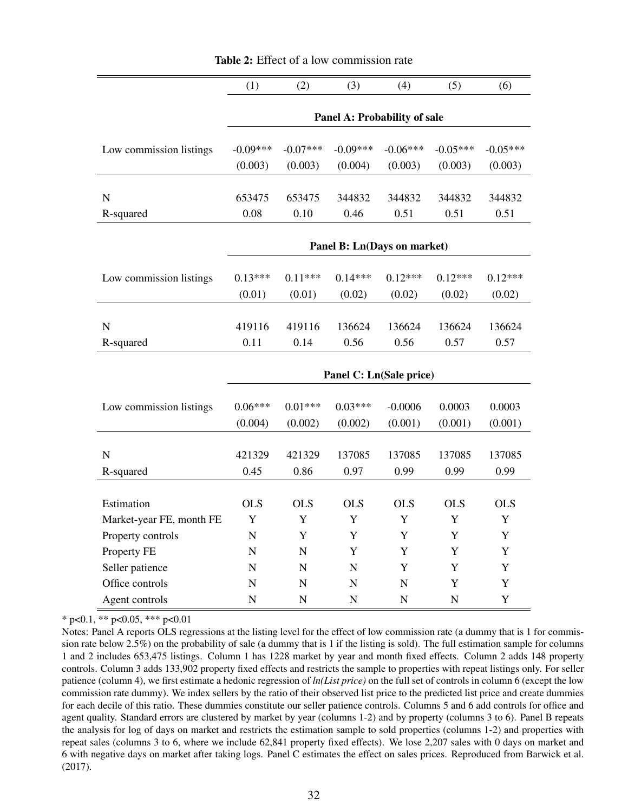<span id="page-32-0"></span>

|                          | (1)                          | (2)            | (3)                         | (4)         | (5)         | (6)         |
|--------------------------|------------------------------|----------------|-----------------------------|-------------|-------------|-------------|
|                          |                              |                |                             |             |             |             |
|                          | Panel A: Probability of sale |                |                             |             |             |             |
| Low commission listings  | $-0.09***$                   | $-0.07***$     | $-0.09***$                  | $-0.06***$  | $-0.05***$  | $-0.05***$  |
|                          | (0.003)                      | (0.003)        | (0.004)                     | (0.003)     | (0.003)     | (0.003)     |
|                          |                              |                |                             |             |             |             |
| ${\bf N}$                | 653475                       | 653475         | 344832                      | 344832      | 344832      | 344832      |
| R-squared                | 0.08                         | 0.10           | 0.46                        | 0.51        | 0.51        | 0.51        |
|                          |                              |                |                             |             |             |             |
|                          |                              |                | Panel B: Ln(Days on market) |             |             |             |
|                          |                              |                |                             |             |             |             |
| Low commission listings  | $0.13***$                    | $0.11***$      | $0.14***$                   | $0.12***$   | $0.12***$   | $0.12***$   |
|                          | (0.01)                       | (0.01)         | (0.02)                      | (0.02)      | (0.02)      | (0.02)      |
| $\mathbf N$              | 419116                       | 419116         | 136624                      | 136624      | 136624      | 136624      |
| R-squared                | 0.11                         | 0.14           | 0.56                        | 0.56        | 0.57        | 0.57        |
|                          |                              |                |                             |             |             |             |
|                          | Panel C: Ln(Sale price)      |                |                             |             |             |             |
|                          |                              |                |                             |             |             |             |
| Low commission listings  | $0.06***$                    | $0.01***$      | $0.03***$                   | $-0.0006$   | 0.0003      | 0.0003      |
|                          | (0.004)                      | (0.002)        | (0.002)                     | (0.001)     | (0.001)     | (0.001)     |
|                          |                              |                |                             |             |             |             |
| $\mathbf N$              | 421329                       | 421329         | 137085                      | 137085      | 137085      | 137085      |
| R-squared                | 0.45                         | 0.86           | 0.97                        | 0.99        | 0.99        | 0.99        |
|                          |                              |                |                             |             |             |             |
| Estimation               | <b>OLS</b>                   | <b>OLS</b>     | <b>OLS</b>                  | <b>OLS</b>  | <b>OLS</b>  | <b>OLS</b>  |
| Market-year FE, month FE | $\mathbf Y$                  | $\mathbf Y$    | Y                           | $\mathbf Y$ | $\mathbf Y$ | $\mathbf Y$ |
| Property controls        | N                            | Y              | Y                           | Y           | Y           | Y           |
| Property FE              | N                            | $\overline{N}$ | Y                           | Y           | Y           | Y           |
| Seller patience          | N                            | $\mathbf N$    | ${\bf N}$                   | Y           | Y           | Y           |
| Office controls          | $\mathbf N$                  | $\mathbf N$    | $\mathbf N$                 | N           | $\mathbf Y$ | Y           |
| Agent controls           | $\mathbf N$                  | $\mathbf N$    | ${\bf N}$                   | N           | $\mathbf N$ | Y           |

Table 2: Effect of a low commission rate

Notes: Panel A reports OLS regressions at the listing level for the effect of low commission rate (a dummy that is 1 for commission rate below 2.5%) on the probability of sale (a dummy that is 1 if the listing is sold). The full estimation sample for columns 1 and 2 includes 653,475 listings. Column 1 has 1228 market by year and month fixed effects. Column 2 adds 148 property controls. Column 3 adds 133,902 property fixed effects and restricts the sample to properties with repeat listings only. For seller patience (column 4), we first estimate a hedonic regression of *ln(List price)* on the full set of controls in column 6 (except the low commission rate dummy). We index sellers by the ratio of their observed list price to the predicted list price and create dummies for each decile of this ratio. These dummies constitute our seller patience controls. Columns 5 and 6 add controls for office and agent quality. Standard errors are clustered by market by year (columns 1-2) and by property (columns 3 to 6). Panel B repeats the analysis for log of days on market and restricts the estimation sample to sold properties (columns 1-2) and properties with repeat sales (columns 3 to 6, where we include 62,841 property fixed effects). We lose 2,207 sales with 0 days on market and 6 with negative days on market after taking logs. Panel C estimates the effect on sales prices. Reproduced from Barwick et al. (2017).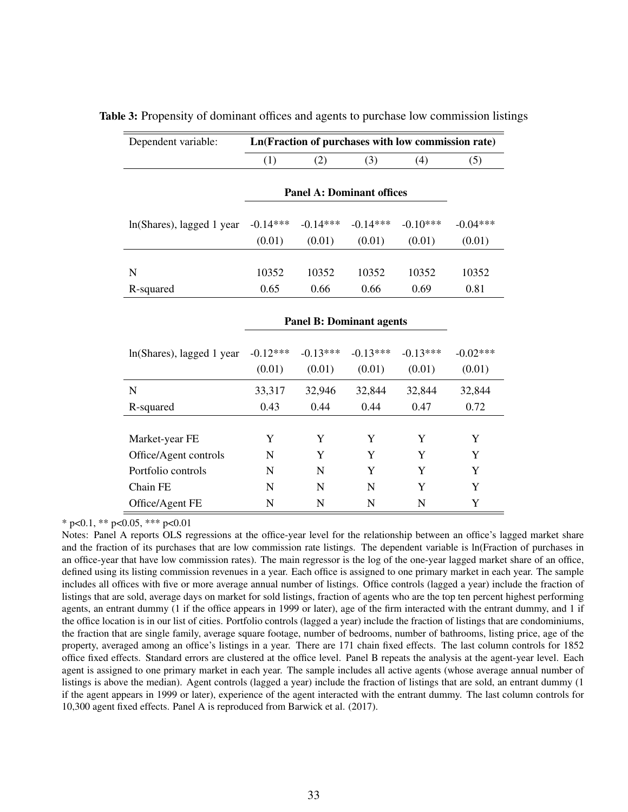| Dependent variable:       | Ln(Fraction of purchases with low commission rate) |                                  |            |            |            |
|---------------------------|----------------------------------------------------|----------------------------------|------------|------------|------------|
|                           | (1)                                                | (2)                              | (3)        | (4)        | (5)        |
|                           |                                                    | <b>Panel A: Dominant offices</b> |            |            |            |
| ln(Shares), lagged 1 year | $-0.14***$                                         | $-0.14***$                       | $-0.14***$ | $-0.10***$ | $-0.04***$ |
|                           | (0.01)                                             | (0.01)                           | (0.01)     | (0.01)     | (0.01)     |
| N                         | 10352                                              | 10352                            | 10352      | 10352      | 10352      |
| R-squared                 | 0.65                                               | 0.66                             | 0.66       | 0.69       | 0.81       |
|                           | <b>Panel B: Dominant agents</b>                    |                                  |            |            |            |
| ln(Shares), lagged 1 year | $-0.12***$                                         | $-0.13***$                       | $-0.13***$ | $-0.13***$ | $-0.02***$ |
|                           | (0.01)                                             | (0.01)                           | (0.01)     | (0.01)     | (0.01)     |
| N                         | 33,317                                             | 32,946                           | 32,844     | 32,844     | 32,844     |
| R-squared                 | 0.43                                               | 0.44                             | 0.44       | 0.47       | 0.72       |
|                           |                                                    |                                  |            |            |            |
| Market-year FE            | Y                                                  | Y                                | Y          | Y          | Y          |
| Office/Agent controls     | N                                                  | Y                                | Y          | Y          | Y          |
| Portfolio controls        | N                                                  | N                                | Y          | Y          | Y          |
| Chain FE                  | N                                                  | N                                | N          | Y          | Y          |
| Office/Agent FE           | N                                                  | N                                | N          | N          | Y          |

<span id="page-33-0"></span>Table 3: Propensity of dominant offices and agents to purchase low commission listings

Notes: Panel A reports OLS regressions at the office-year level for the relationship between an office's lagged market share and the fraction of its purchases that are low commission rate listings. The dependent variable is ln(Fraction of purchases in an office-year that have low commission rates). The main regressor is the log of the one-year lagged market share of an office, defined using its listing commission revenues in a year. Each office is assigned to one primary market in each year. The sample includes all offices with five or more average annual number of listings. Office controls (lagged a year) include the fraction of listings that are sold, average days on market for sold listings, fraction of agents who are the top ten percent highest performing agents, an entrant dummy (1 if the office appears in 1999 or later), age of the firm interacted with the entrant dummy, and 1 if the office location is in our list of cities. Portfolio controls (lagged a year) include the fraction of listings that are condominiums, the fraction that are single family, average square footage, number of bedrooms, number of bathrooms, listing price, age of the property, averaged among an office's listings in a year. There are 171 chain fixed effects. The last column controls for 1852 office fixed effects. Standard errors are clustered at the office level. Panel B repeats the analysis at the agent-year level. Each agent is assigned to one primary market in each year. The sample includes all active agents (whose average annual number of listings is above the median). Agent controls (lagged a year) include the fraction of listings that are sold, an entrant dummy (1 if the agent appears in 1999 or later), experience of the agent interacted with the entrant dummy. The last column controls for 10,300 agent fixed effects. Panel A is reproduced from Barwick et al. (2017).